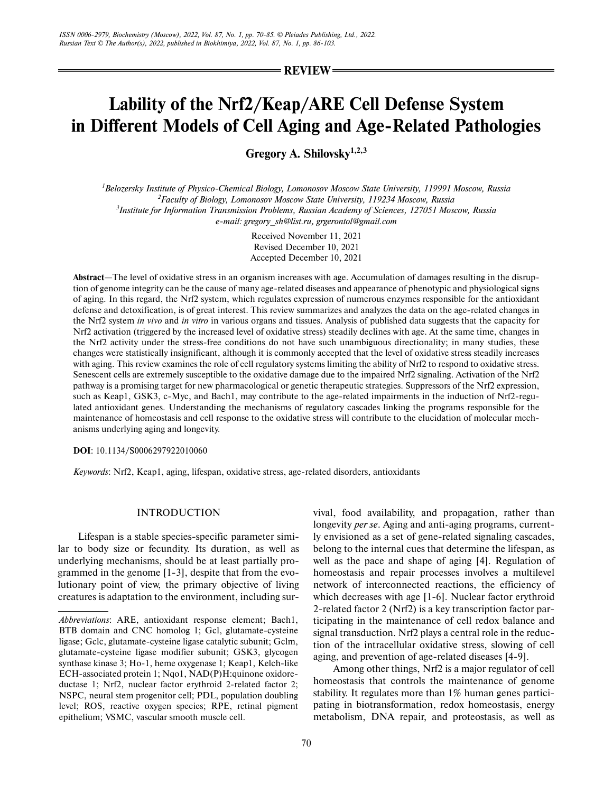**REVIEW**

# **Lability of the Nrf2/Keap/ARE Cell Defense System in Different Models of Cell Aging and Age-Related Pathologies**

**Gregory A. Shilovsky1,2,3**

 *Belozersky Institute of Physico-Chemical Biology, Lomonosov Moscow State University, 119991 Moscow, Russia Faculty of Biology, Lomonosov Moscow State University, 119234 Moscow, Russia Institute for Information Transmission Problems, Russian Academy of Sciences, 127051 Moscow, Russia e-mail: gregory\_sh@list.ru, grgerontol@gmail.com*

> Received November 11, 2021 Revised December 10, 2021 Accepted December 10, 2021

**Abstract**—The level of oxidative stress in an organism increases with age. Accumulation of damages resulting in the disrup tion of genome integrity can be the cause of many age-related diseases and appearance of phenotypic and physiological signs of aging. In this regard, the Nrf2 system, which regulates expression of numerous enzymes responsible for the antioxidant defense and detoxification, is of great interest. This review summarizes and analyzes the data on the age-related changes in the Nrf2 system *in vivo* and *in vitro* in various organs and tissues. Analysis of published data suggests that the capacity for Nrf2 activation (triggered by the increased level of oxidative stress) steadily declines with age. At the same time, changes in the Nrf2 activity under the stress-free conditions do not have such unambiguous directionality; in many studies, these changes were statistically insignificant, although it is commonly accepted that the level of oxidative stress steadily increases with aging. This review examines the role of cell regulatory systems limiting the ability of Nrf2 to respond to oxidative stress. Senescent cells are extremely susceptible to the oxidative damage due to the impaired Nrf2 signaling. Activation of the Nrf2 pathway is a promising target for new pharmacological or genetic therapeutic strategies. Suppressors of the Nrf2 expression, such as Keap1, GSK3, c-Myc, and Bach1, may contribute to the age-related impairments in the induction of Nrf2-regulated antioxidant genes. Understanding the mechanisms of regulatory cascades linking the programs responsible for the maintenance of homeostasis and cell response to the oxidative stress will contribute to the elucidation of molecular mech anisms underlying aging and longevity.

**DOI**: 10.1134/S0006297922010060

*Keywords*: Nrf2, Keap1, aging, lifespan, oxidative stress, age-related disorders, antioxidants

# INTRODUCTION

Lifespan is a stable species-specific parameter simi lar to body size or fecundity. Its duration, as well as underlying mechanisms, should be at least partially pro grammed in the genome [1-3], despite that from the evo lutionary point of view, the primary objective of living creatures is adaptation to the environment, including survival, food availability, and propagation, rather than longevity *per se*. Aging and anti-aging programs, current ly envisioned as a set of gene-related signaling cascades, belong to the internal cues that determine the lifespan, as well as the pace and shape of aging [4]. Regulation of homeostasis and repair processes involves a multilevel network of interconnected reactions, the efficiency of which decreases with age [1-6]. Nuclear factor erythroid 2-related factor 2 (Nrf2) is a key transcription factor par ticipating in the maintenance of cell redox balance and signal transduction. Nrf2 plays a central role in the reduc tion of the intracellular oxidative stress, slowing of cell aging, and prevention of age-related diseases [4-9].

Among other things, Nrf2 is a major regulator of cell homeostasis that controls the maintenance of genome stability. It regulates more than 1% human genes partici pating in biotransformation, redox homeostasis, energy metabolism, DNA repair, and proteostasis, as well as

*Abbreviations*: ARE, antioxidant response element; Bach1, BTB domain and CNC homolog 1; Gcl, glutamate-cysteine ligase; Gclc, glutamate-cysteine ligase catalytic subunit; Gclm, glutamate-cysteine ligase modifier subunit; GSK3, glycogen synthase kinase 3; Ho-1, heme oxygenase 1; Keap1, Kelch-like ECH-associated protein 1; Nqo1, NAD(P)H:quinone oxidore ductase 1; Nrf2, nuclear factor erythroid 2-related factor 2; NSPC, neural stem progenitor cell; PDL, population doubling level; ROS, reactive oxygen species; RPE, retinal pigment epithelium; VSMC, vascular smooth muscle cell.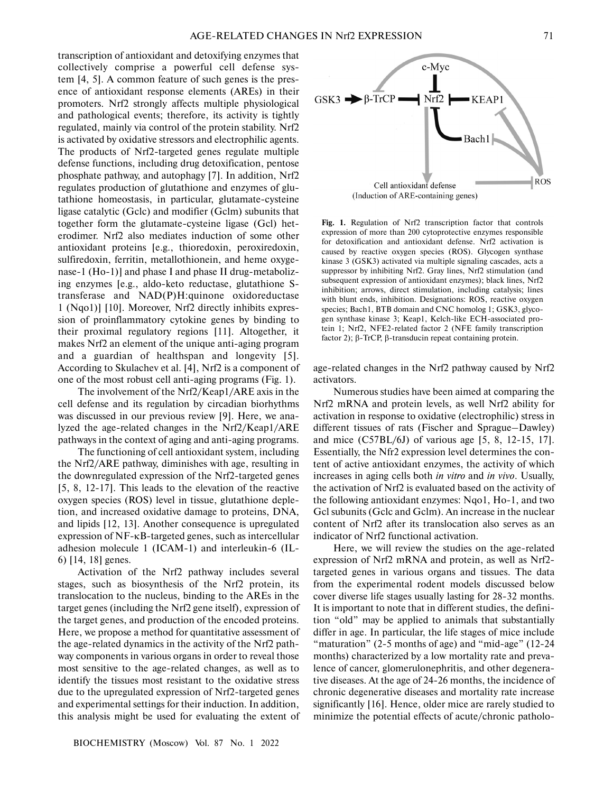transcription of antioxidant and detoxifying enzymes that collectively comprise a powerful cell defense sys tem [4, 5]. A common feature of such genes is the pres ence of antioxidant response elements (AREs) in their promoters. Nrf2 strongly affects multiple physiological and pathological events; therefore, its activity is tightly regulated, mainly via control of the protein stability. Nrf2 is activated by oxidative stressors and electrophilic agents. The products of Nrf2-targeted genes regulate multiple defense functions, including drug detoxification, pentose phosphate pathway, and autophagy [7]. In addition, Nrf2 regulates production of glutathione and enzymes of glu tathione homeostasis, in particular, glutamate-cysteine ligase catalytic (Gclc) and modifier (Gclm) subunits that together form the glutamate-cysteine ligase (Gcl) het erodimer. Nrf2 also mediates induction of some other antioxidant proteins [e.g., thioredoxin, peroxiredoxin, sulfiredoxin, ferritin, metallothionein, and heme oxyge nase-1 (Ho-1)] and phase I and phase II drug-metaboliz ing enzymes [e.g., aldo-keto reductase, glutathione S transferase and NAD(P)H:quinone oxidoreductase 1 (Nqo1)] [10]. Moreover, Nrf2 directly inhibits expres sion of proinflammatory cytokine genes by binding to their proximal regulatory regions [11]. Altogether, it makes Nrf2 an element of the unique anti-aging program and a guardian of healthspan and longevity [5]. According to Skulachev et al. [4], Nrf2 is a component of one of the most robust cell anti-aging programs (Fig. 1).

The involvement of the Nrf2/Keap1/ARE axis in the cell defense and its regulation by circadian biorhythms was discussed in our previous review [9]. Here, we ana lyzed the age-related changes in the Nrf2/Keap1/ARE pathways in the context of aging and anti-aging programs.

The functioning of cell antioxidant system, including the Nrf2/ARE pathway, diminishes with age, resulting in the downregulated expression of the Nrf2-targeted genes [5, 8, 12-17]. This leads to the elevation of the reactive oxygen species (ROS) level in tissue, glutathione deple tion, and increased oxidative damage to proteins, DNA, and lipids [12, 13]. Another consequence is upregulated expression of NF-κB-targeted genes, such as intercellular adhesion molecule 1 (ICAM-1) and interleukin-6 (IL- 6) [14, 18] genes.

Activation of the Nrf2 pathway includes several stages, such as biosynthesis of the Nrf2 protein, its translocation to the nucleus, binding to the AREs in the target genes (including the Nrf2 gene itself), expression of the target genes, and production of the encoded proteins. Here, we propose a method for quantitative assessment of the age-related dynamics in the activity of the Nrf2 path way components in various organs in order to reveal those most sensitive to the age-related changes, as well as to identify the tissues most resistant to the oxidative stress due to the upregulated expression of Nrf2-targeted genes and experimental settings for their induction. In addition, this analysis might be used for evaluating the extent of



**Fig. 1.** Regulation of Nrf2 transcription factor that controls expression of more than 200 cytoprotective enzymes responsible for detoxification and antioxidant defense. Nrf2 activation is caused by reactive oxygen species (ROS). Glycogen synthase kinase 3 (GSK3) activated via multiple signaling cascades, acts a suppressor by inhibiting Nrf2. Gray lines, Nrf2 stimulation (and subsequent expression of antioxidant enzymes); black lines, Nrf2 inhibition; arrows, direct stimulation, including catalysis; lines with blunt ends, inhibition. Designations: ROS, reactive oxygen species; Bach1, BTB domain and CNC homolog 1; GSK3, glyco gen synthase kinase 3; Keap1, Kelch-like ECH-associated pro tein 1; Nrf2, NFE2-related factor 2 (NFE family transcription factor 2); β-TrCP, β-transducin repeat containing protein.

age-related changes in the Nrf2 pathway caused by Nrf2 activators.

Numerous studies have been aimed at comparing the Nrf2 mRNA and protein levels, as well Nrf2 ability for activation in response to oxidative (electrophilic) stress in different tissues of rats (Fischer and Sprague–Dawley) and mice (C57BL/6J) of various age [5, 8, 12-15, 17]. Essentially, the Nfr2 expression level determines the con tent of active antioxidant enzymes, the activity of which increases in aging cells both *in vitro* and *in vivo*. Usually, the activation of Nrf2 is evaluated based on the activity of the following antioxidant enzymes: Nqo1, Ho-1, and two Gcl subunits (Gclc and Gclm). An increase in the nuclear content of Nrf2 after its translocation also serves as an indicator of Nrf2 functional activation.

Here, we will review the studies on the age-related expression of Nrf2 mRNA and protein, as well as Nrf2 targeted genes in various organs and tissues. The data from the experimental rodent models discussed below cover diverse life stages usually lasting for 28-32 months. It is important to note that in different studies, the defini tion "old" may be applied to animals that substantially differ in age. In particular, the life stages of mice include "maturation" (2-5 months of age) and "mid-age" (12-24 months) characterized by a low mortality rate and preva lence of cancer, glomerulonephritis, and other degenera tive diseases. At the age of 24-26 months, the incidence of chronic degenerative diseases and mortality rate increase significantly [16]. Hence, older mice are rarely studied to minimize the potential effects of acute/chronic patholo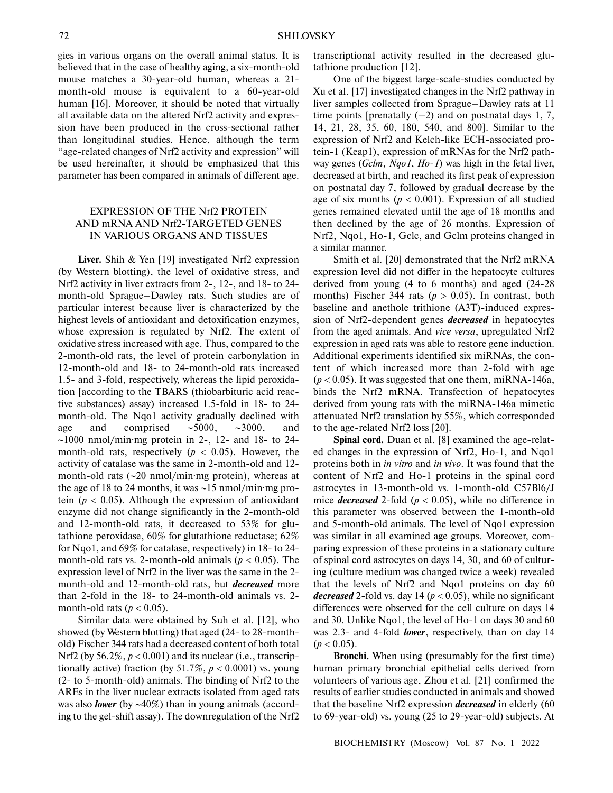gies in various organs on the overall animal status. It is believed that in the case of healthy aging, a six-month-old mouse matches a 30-year-old human, whereas a 21 month-old mouse is equivalent to a 60-year-old human [16]. Moreover, it should be noted that virtually all available data on the altered Nrf2 activity and expres sion have been produced in the cross-sectional rather than longitudinal studies. Hence, although the term "age-related changes of Nrf2 activity and expression" will be used hereinafter, it should be emphasized that this parameter has been compared in animals of different age.

# EXPRESSION OF THE Nrf2 PROTEIN AND mRNA AND Nrf2-TARGETED GENES IN VARIOUS ORGANS AND TISSUES

**Liver.** Shih & Yen [19] investigated Nrf2 expression (by Western blotting), the level of oxidative stress, and Nrf2 activity in liver extracts from 2-, 12-, and 18- to 24month-old Sprague–Dawley rats. Such studies are of particular interest because liver is characterized by the highest levels of antioxidant and detoxification enzymes, whose expression is regulated by Nrf2. The extent of oxidative stress increased with age. Thus, compared to the 2-month-old rats, the level of protein carbonylation in 12-month-old and 18- to 24-month-old rats increased 1.5- and 3-fold, respectively, whereas the lipid peroxida tion [according to the TBARS (thiobarbituric acid reac tive substances) assay) increased 1.5-fold in 18- to 24 month-old. The Nqo1 activity gradually declined with age and comprised ∼5000, ∼3000, and ∼1000 nmol/min·mg protein in 2-, 12- and 18- to 24 month-old rats, respectively ( $p < 0.05$ ). However, the activity of catalase was the same in 2-month-old and 12 month-old rats (∼20 nmol/min·mg protein), whereas at the age of 18 to 24 months, it was ∼15 nmol/min·mg pro tein ( $p < 0.05$ ). Although the expression of antioxidant enzyme did not change significantly in the 2-month-old and 12-month-old rats, it decreased to 53% for glu tathione peroxidase, 60% for glutathione reductase; 62% for Nqo1, and 69% for catalase, respectively) in 18- to 24 month-old rats vs. 2-month-old animals ( $p < 0.05$ ). The expression level of Nrf2 in the liver was the same in the 2 month-old and 12-month-old rats, but *decreased* more than 2-fold in the 18- to 24-month-old animals vs. 2 month-old rats  $(p < 0.05)$ .

Similar data were obtained by Suh et al. [12], who showed (by Western blotting) that aged (24- to 28-month old) Fischer 344 rats had a decreased content of both total Nrf2 (by 56.2%, *p* < 0.001) and its nuclear (i.e., transcrip tionally active) fraction (by  $51.7\%$ ,  $p < 0.0001$ ) vs. young (2- to 5-month-old) animals. The binding of Nrf2 to the AREs in the liver nuclear extracts isolated from aged rats was also *lower* (by ∼40%) than in young animals (accord ing to the gel-shift assay). The downregulation of the Nrf2

transcriptional activity resulted in the decreased glu tathione production [12].

One of the biggest large-scale-studies conducted by Xu et al. [17] investigated changes in the Nrf2 pathway in liver samples collected from Sprague–Dawley rats at 11 time points [prenatally  $(-2)$  and on postnatal days 1, 7, 14, 21, 28, 35, 60, 180, 540, and 800]. Similar to the expression of Nrf2 and Kelch-like ECH-associated pro tein-1 (Keap1), expression of mRNAs for the Nrf2 path way genes (*Gclm*, *Nqo1*, *Ho-1*) was high in the fetal liver, decreased at birth, and reached its first peak of expression on postnatal day 7, followed by gradual decrease by the age of six months ( $p < 0.001$ ). Expression of all studied genes remained elevated until the age of 18 months and then declined by the age of 26 months. Expression of Nrf2, Nqo1, Ho-1, Gclc, and Gclm proteins changed in a similar manner.

Smith et al. [20] demonstrated that the Nrf2 mRNA expression level did not differ in the hepatocyte cultures derived from young (4 to 6 months) and aged (24-28 months) Fischer 344 rats ( $p > 0.05$ ). In contrast, both baseline and anethole trithione (A3T)-induced expres sion of Nrf2-dependent genes *decreased* in hepatocytes from the aged animals. And *vice versa*, upregulated Nrf2 expression in aged rats was able to restore gene induction. Additional experiments identified six miRNAs, the con tent of which increased more than 2-fold with age  $(p < 0.05)$ . It was suggested that one them, miRNA-146a, binds the Nrf2 mRNA. Transfection of hepatocytes derived from young rats with the miRNA-146a mimetic attenuated Nrf2 translation by 55%, which corresponded to the age-related Nrf2 loss [20].

Spinal cord. Duan et al. [8] examined the age-related changes in the expression of Nrf2, Ho-1, and Nqo1 proteins both in *in vitro* and *in vivo*. It was found that the content of Nrf2 and Ho-1 proteins in the spinal cord astrocytes in 13-month-old vs. 1-month-old C57Bl6/J mice *decreased* 2-fold (*p* < 0.05), while no difference in this parameter was observed between the 1-month-old and 5-month-old animals. The level of Nqo1 expression was similar in all examined age groups. Moreover, com paring expression of these proteins in a stationary culture of spinal cord astrocytes on days 14, 30, and 60 of cultur ing (culture medium was changed twice a week) revealed that the levels of Nrf2 and Nqo1 proteins on day 60 *decreased* 2-fold vs. day 14 (*p* < 0.05), while no significant differences were observed for the cell culture on days 14 and 30. Unlike Nqo1, the level of Ho-1 on days 30 and 60 was 2.3- and 4-fold *lower*, respectively, than on day 14  $(p < 0.05)$ .

**Bronchi.** When using (presumably for the first time) human primary bronchial epithelial cells derived from volunteers of various age, Zhou et al. [21] confirmed the results of earlier studies conducted in animals and showed that the baseline Nrf2 expression *decreased* in elderly (60 to 69-year-old) vs. young (25 to 29-year-old) subjects. At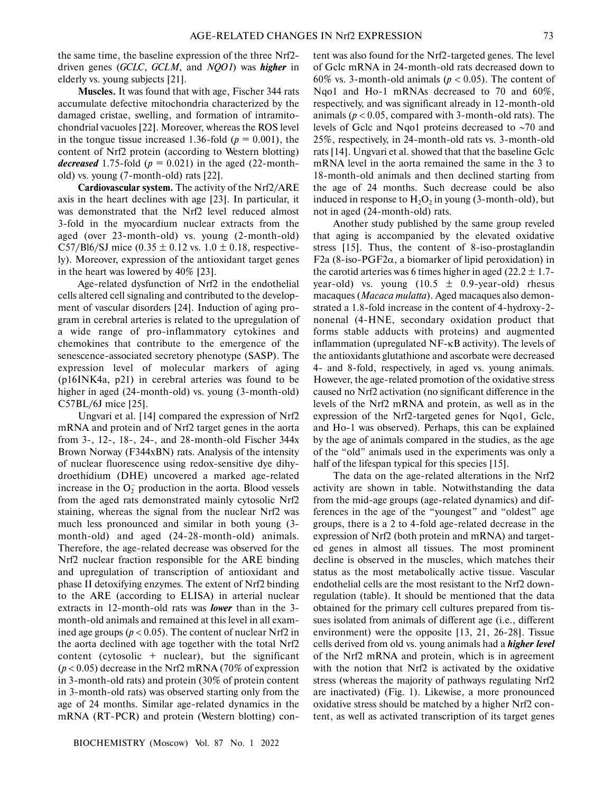the same time, the baseline expression of the three Nrf2 driven genes (*GCLC*, *GCLM*, and *NQO1*) was *higher* in elderly vs. young subjects [21].

**Muscles.** It was found that with age, Fischer 344 rats accumulate defective mitochondria characterized by the damaged cristae, swelling, and formation of intramito chondrial vacuoles [22]. Moreover, whereas the ROS level in the tongue tissue increased 1.36-fold  $(p = 0.001)$ , the content of Nrf2 protein (according to Western blotting) *decreased* 1.75-fold  $(p = 0.021)$  in the aged (22-monthold) vs. young (7-month-old) rats [22].

**Cardiovascular system.** The activity of the Nrf2/ARE axis in the heart declines with age [23]. In particular, it was demonstrated that the Nrf2 level reduced almost 3-fold in the myocardium nuclear extracts from the aged (over 23-month-old) vs. young (2-month-old) C57/Bl6/SJ mice  $(0.35 \pm 0.12 \text{ vs. } 1.0 \pm 0.18)$ , respectively). Moreover, expression of the antioxidant target genes in the heart was lowered by 40% [23].

Age-related dysfunction of Nrf2 in the endothelial cells altered cell signaling and contributed to the develop ment of vascular disorders [24]. Induction of aging pro gram in cerebral arteries is related to the upregulation of a wide range of pro-inflammatory cytokines and chemokines that contribute to the emergence of the senescence-associated secretory phenotype (SASP). The expression level of molecular markers of aging (p16INK4a, p21) in cerebral arteries was found to be higher in aged (24-month-old) vs. young (3-month-old) C57BL/6J mice [25].

Ungvari et al. [14] compared the expression of Nrf2 mRNA and protein and of Nrf2 target genes in the aorta from 3-, 12-, 18-, 24-, and 28-month-old Fischer 344x Brown Norway (F344xBN) rats. Analysis of the intensity of nuclear fluorescence using redox-sensitive dye dihy droethidium (DHE) uncovered a marked age-related increase in the  $O_2^-$  production in the aorta. Blood vessels from the aged rats demonstrated mainly cytosolic Nrf2 staining, whereas the signal from the nuclear Nrf2 was much less pronounced and similar in both young (3 month-old) and aged (24-28-month-old) animals. Therefore, the age-related decrease was observed for the Nrf2 nuclear fraction responsible for the ARE binding and upregulation of transcription of antioxidant and phase II detoxifying enzymes. The extent of Nrf2 binding to the ARE (according to ELISA) in arterial nuclear extracts in 12-month-old rats was *lower* than in the 3 month-old animals and remained at this level in all exam ined age groups ( $p < 0.05$ ). The content of nuclear Nrf2 in the aorta declined with age together with the total Nrf2 content (cytosolic  $+$  nuclear), but the significant  $(p < 0.05)$  decrease in the Nrf2 mRNA (70% of expression in 3-month-old rats) and protein (30% of protein content in 3-month-old rats) was observed starting only from the age of 24 months. Similar age-related dynamics in the mRNA (RT-PCR) and protein (Western blotting) con-

tent was also found for the Nrf2-targeted genes. The level of Gclc mRNA in 24-month-old rats decreased down to 60% vs. 3-month-old animals ( $p < 0.05$ ). The content of Nqo1 and Ho-1 mRNAs decreased to 70 and 60%, respectively, and was significant already in 12-month-old animals ( $p < 0.05$ , compared with 3-month-old rats). The levels of Gclc and Nqo1 proteins decreased to ∼70 and 25%, respectively, in 24-month-old rats vs. 3-month-old rats [14]. Ungvari et al. showed that that the baseline Gclc mRNA level in the aorta remained the same in the 3 to 18-month-old animals and then declined starting from the age of 24 months. Such decrease could be also induced in response to  $H_2O_2$  in young (3-month-old), but not in aged (24-month-old) rats.

Another study published by the same group reveled that aging is accompanied by the elevated oxidative stress [15]. Thus, the content of 8-iso-prostaglandin F2a (8-iso-PGF2 $\alpha$ , a biomarker of lipid peroxidation) in the carotid arteries was 6 times higher in aged (22.2  $\pm$  1.7year-old) vs. young  $(10.5 \pm 0.9$ -year-old) rhesus macaques (*Macaca mulatta*). Aged macaques also demon strated a 1.8-fold increase in the content of 4-hydroxy-2 nonenal (4-HNE, secondary oxidation product that forms stable adducts with proteins) and augmented inflammation (upregulated NF-κB activity). The levels of the antioxidants glutathione and ascorbate were decreased 4- and 8-fold, respectively, in aged vs. young animals. However, the age-related promotion of the oxidative stress caused no Nrf2 activation (no significant difference in the levels of the Nrf2 mRNA and protein, as well as in the expression of the Nrf2-targeted genes for Nqo1, Gclc, and Ho-1 was observed). Perhaps, this can be explained by the age of animals compared in the studies, as the age of the "old" animals used in the experiments was only a half of the lifespan typical for this species [15].

The data on the age-related alterations in the Nrf2 activity are shown in table. Notwithstanding the data from the mid-age groups (age-related dynamics) and dif ferences in the age of the "youngest" and "oldest" age groups, there is a 2 to 4-fold age-related decrease in the expression of Nrf2 (both protein and mRNA) and target ed genes in almost all tissues. The most prominent decline is observed in the muscles, which matches their status as the most metabolically active tissue. Vascular endothelial cells are the most resistant to the Nrf2 down regulation (table). It should be mentioned that the data obtained for the primary cell cultures prepared from tis sues isolated from animals of different age (i.e., different environment) were the opposite [13, 21, 26-28]. Tissue cells derived from old vs. young animals had a *higher level* of the Nrf2 mRNA and protein, which is in agreement with the notion that Nrf2 is activated by the oxidative stress (whereas the majority of pathways regulating Nrf2 are inactivated) (Fig. 1). Likewise, a more pronounced oxidative stress should be matched by a higher Nrf2 con tent, as well as activated transcription of its target genes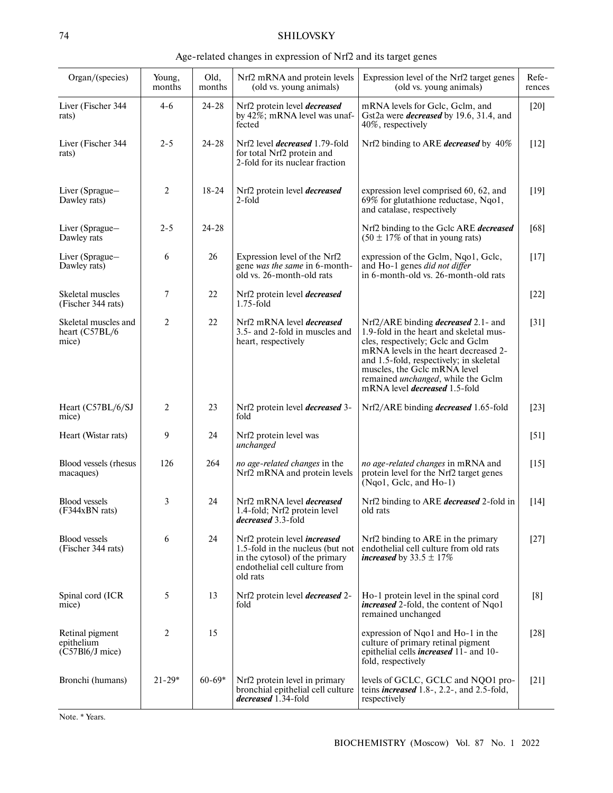# 74 SHILOVSKY

#### Age-related changes in expression of Nrf2 and its target genes

| Organ/(species)                                    | Young,<br>months | Old,<br>months | Nrf2 mRNA and protein levels<br>(old vs. young animals)                                                                                                | Expression level of the Nrf2 target genes<br>(old vs. young animals)                                                                                                                                                                                                                                                         | Refe-<br>rences |
|----------------------------------------------------|------------------|----------------|--------------------------------------------------------------------------------------------------------------------------------------------------------|------------------------------------------------------------------------------------------------------------------------------------------------------------------------------------------------------------------------------------------------------------------------------------------------------------------------------|-----------------|
| Liver (Fischer 344<br>rats)                        | $4 - 6$          | $24 - 28$      | Nrf2 protein level <i>decreased</i><br>by 42%; mRNA level was unaf-<br>fected                                                                          | mRNA levels for Gclc, Gclm, and<br>Gst2a were <i>decreased</i> by 19.6, 31.4, and<br>40%, respectively                                                                                                                                                                                                                       | $[20]$          |
| Liver (Fischer 344<br>rats)                        | $2 - 5$          | $24 - 28$      | Nrf2 level <i>decreased</i> 1.79-fold<br>for total Nrf2 protein and<br>2-fold for its nuclear fraction                                                 | Nrf2 binding to ARE decreased by 40%                                                                                                                                                                                                                                                                                         | $[12]$          |
| Liver (Sprague-<br>Dawley rats)                    | $\overline{2}$   | $18 - 24$      | Nrf2 protein level <i>decreased</i><br>2-fold                                                                                                          | expression level comprised 60, 62, and<br>69% for glutathione reductase, Nqo1,<br>and catalase, respectively                                                                                                                                                                                                                 | $[19]$          |
| Liver (Sprague-<br>Dawley rats                     | $2 - 5$          | $24 - 28$      |                                                                                                                                                        | Nrf2 binding to the Gclc ARE decreased<br>$(50 \pm 17\% \text{ of that in young rats})$                                                                                                                                                                                                                                      | [68]            |
| Liver (Sprague-<br>Dawley rats)                    | 6                | 26             | Expression level of the Nrf2<br>gene was the same in 6-month-<br>old vs. 26-month-old rats                                                             | expression of the Gclm, Nqo1, Gclc,<br>and Ho-1 genes did not differ<br>in 6-month-old vs. 26-month-old rats                                                                                                                                                                                                                 | $[17]$          |
| Skeletal muscles<br>(Fischer 344 rats)             | 7                | 22             | Nrf2 protein level <i>decreased</i><br>$1.75$ -fold                                                                                                    |                                                                                                                                                                                                                                                                                                                              | $[22]$          |
| Skeletal muscles and<br>heart (C57BL/6<br>mice)    | 2                | 22             | Nrf2 mRNA level <i>decreased</i><br>3.5- and 2-fold in muscles and<br>heart, respectively                                                              | Nrf2/ARE binding <i>decreased</i> 2.1- and<br>1.9-fold in the heart and skeletal mus-<br>cles, respectively; Gclc and Gclm<br>mRNA levels in the heart decreased 2-<br>and 1.5-fold, respectively; in skeletal<br>muscles, the Gclc mRNA level<br>remained unchanged, while the Gclm<br>mRNA level <i>decreased</i> 1.5-fold | $[31]$          |
| Heart (C57BL/6/SJ<br>mice)                         | 2                | 23             | Nrf2 protein level <i>decreased</i> 3-<br>fold                                                                                                         | Nrf2/ARE binding <i>decreased</i> 1.65-fold                                                                                                                                                                                                                                                                                  | $[23]$          |
| Heart (Wistar rats)                                | 9                | 24             | Nrf2 protein level was<br>unchanged                                                                                                                    |                                                                                                                                                                                                                                                                                                                              | $[51]$          |
| Blood vessels (rhesus<br>macaques)                 | 126              | 264            | no age-related changes in the<br>Nrf2 mRNA and protein levels                                                                                          | no age-related changes in mRNA and<br>protein level for the Nrf2 target genes<br>(Nqo1, Gclc, and Ho-1)                                                                                                                                                                                                                      | $[15]$          |
| <b>Blood</b> vessels<br>(F344xBN rats)             | 3                | 24             | Nrf2 mRNA level <i>decreased</i><br>1.4-fold; Nrf2 protein level<br>decreased 3.3-fold                                                                 | Nrf2 binding to ARE <i>decreased</i> 2-fold in<br>old rats                                                                                                                                                                                                                                                                   | $[14]$          |
| <b>Blood vessels</b><br>(Fischer 344 rats)         | 6                | 24             | Nrf2 protein level <i>increased</i><br>1.5-fold in the nucleus (but not<br>in the cytosol) of the primary<br>endothelial cell culture from<br>old rats | Nrf2 binding to ARE in the primary<br>endothelial cell culture from old rats<br><i>increased</i> by $33.5 \pm 17\%$                                                                                                                                                                                                          | $[27]$          |
| Spinal cord (ICR<br>mice)                          | 5                | 13             | Nrf2 protein level <i>decreased</i> 2-<br>fold                                                                                                         | Ho-1 protein level in the spinal cord<br><i>increased</i> 2-fold, the content of Nqo1<br>remained unchanged                                                                                                                                                                                                                  | [8]             |
| Retinal pigment<br>epithelium<br>$(C57B16/J$ mice) | 2                | 15             |                                                                                                                                                        | expression of Nqo1 and Ho-1 in the<br>culture of primary retinal pigment<br>epithelial cells <i>increased</i> 11- and 10-<br>fold, respectively                                                                                                                                                                              | $[28]$          |
| Bronchi (humans)                                   | $21 - 29*$       | $60 - 69*$     | Nrf2 protein level in primary<br>bronchial epithelial cell culture<br><i>decreased</i> 1.34-fold                                                       | levels of GCLC, GCLC and NQO1 pro-<br>teins <i>increased</i> $1.8$ -, $2.2$ -, and $2.5$ -fold,<br>respectively                                                                                                                                                                                                              | $[21]$          |

Note. \* Years.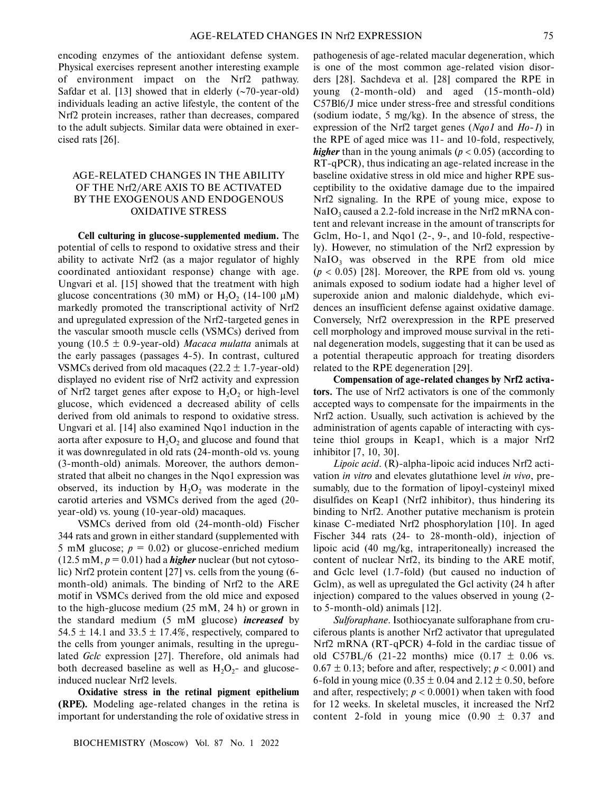encoding enzymes of the antioxidant defense system. Physical exercises represent another interesting example of environment impact on the Nrf2 pathway. Safdar et al. [13] showed that in elderly (~70-year-old) individuals leading an active lifestyle, the content of the Nrf2 protein increases, rather than decreases, compared to the adult subjects. Similar data were obtained in exer cised rats [26].

# AGE-RELATED CHANGES IN THE ABILITY OF THE Nrf2/ARE AXIS TO BE ACTIVATED BY THE EXOGENOUS AND ENDOGENOUS OXIDATIVE STRESS

**Cell culturing in glucose-supplemented medium.** The potential of cells to respond to oxidative stress and their ability to activate Nrf2 (as a major regulator of highly coordinated antioxidant response) change with age. Ungvari et al. [15] showed that the treatment with high glucose concentrations (30 mM) or  $H_2O_2$  (14-100  $\mu$ M) markedly promoted the transcriptional activity of Nrf2 and upregulated expression of the Nrf2-targeted genes in the vascular smooth muscle cells (VSMCs) derived from young (10.5 ± 0.9-year-old) *Macaca mulatta* animals at the early passages (passages 4-5). In contrast, cultured VSMCs derived from old macaques  $(22.2 \pm 1.7$ -year-old) displayed no evident rise of Nrf2 activity and expression of Nrf2 target genes after expose to  $H_2O_2$  or high-level glucose, which evidenced a decreased ability of cells derived from old animals to respond to oxidative stress. Ungvari et al. [14] also examined Nqo1 induction in the aorta after exposure to  $H_2O_2$  and glucose and found that it was downregulated in old rats (24-month-old vs. young (3-month-old) animals. Moreover, the authors demon strated that albeit no changes in the Nqo1 expression was observed, its induction by  $H_2O_2$  was moderate in the carotid arteries and VSMCs derived from the aged (20 year-old) vs. young (10-year-old) macaques.

VSMCs derived from old (24-month-old) Fischer 344 rats and grown in either standard (supplemented with 5 mM glucose;  $p = 0.02$ ) or glucose-enriched medium  $(12.5 \text{ mM}, p = 0.01)$  had a *higher* nuclear (but not cytosolic) Nrf2 protein content [27] vs. cells from the young (6 month-old) animals. The binding of Nrf2 to the ARE motif in VSMCs derived from the old mice and exposed to the high-glucose medium (25 mM, 24 h) or grown in the standard medium (5 mM glucose) *increased* by 54.5  $\pm$  14.1 and 33.5  $\pm$  17.4%, respectively, compared to the cells from younger animals, resulting in the upregu lated *Gclc* expression [27]. Therefore, old animals had both decreased baseline as well as  $H_2O_2$ - and glucoseinduced nuclear Nrf2 levels.

**Oxidative stress in the retinal pigment epithelium (RPE).** Modeling age-related changes in the retina is important for understanding the role of oxidative stress in

pathogenesis of age-related macular degeneration, which is one of the most common age-related vision disor ders [28]. Sachdeva et al. [28] compared the RPE in young (2-month-old) and aged (15-month-old) C57Bl6/J mice under stress-free and stressful conditions (sodium iodate, 5 mg/kg). In the absence of stress, the expression of the Nrf2 target genes (*Nqo1* and *Ho-1*) in the RPE of aged mice was 11- and 10-fold, respectively, *higher* than in the young animals ( $p < 0.05$ ) (according to RT-qPCR), thus indicating an age-related increase in the baseline oxidative stress in old mice and higher RPE sus ceptibility to the oxidative damage due to the impaired Nrf2 signaling. In the RPE of young mice, expose to  $NaIO<sub>3</sub>$  caused a 2.2-fold increase in the Nrf2 mRNA content and relevant increase in the amount of transcripts for Gclm, Ho-1, and Nqo1 (2-, 9-, and 10-fold, respectively). However, no stimulation of the Nrf2 expression by  $NaIO<sub>3</sub>$  was observed in the RPE from old mice  $(p < 0.05)$  [28]. Moreover, the RPE from old vs. young animals exposed to sodium iodate had a higher level of superoxide anion and malonic dialdehyde, which evi dences an insufficient defense against oxidative damage. Conversely, Nrf2 overexpression in the RPE preserved cell morphology and improved mouse survival in the reti nal degeneration models, suggesting that it can be used as a potential therapeutic approach for treating disorders related to the RPE degeneration [29].

**Compensation of age-related changes by Nrf2 activa tors.** The use of Nrf2 activators is one of the commonly accepted ways to compensate for the impairments in the Nrf2 action. Usually, such activation is achieved by the administration of agents capable of interacting with cys teine thiol groups in Keap1, which is a major Nrf2 inhibitor [7, 10, 30].

*Lipoic acid*. (R)-alpha-lipoic acid induces Nrf2 acti vation *in vitro* and elevates glutathione level *in vivo*, pre sumably, due to the formation of lipoyl-cysteinyl mixed disulfides on Keap1 (Nrf2 inhibitor), thus hindering its binding to Nrf2. Another putative mechanism is protein kinase C-mediated Nrf2 phosphorylation [10]. In aged Fischer 344 rats (24- to 28-month-old), injection of lipoic acid (40 mg/kg, intraperitoneally) increased the content of nuclear Nrf2, its binding to the ARE motif, and Gclc level (1.7-fold) (but caused no induction of Gclm), as well as upregulated the Gcl activity (24 h after injection) compared to the values observed in young (2 to 5-month-old) animals [12].

*Sulforaphane*. Isothiocyanate sulforaphane from cru ciferous plants is another Nrf2 activator that upregulated Nrf2 mRNA (RT-qPCR) 4-fold in the cardiac tissue of old C57BL/6 (21-22 months) mice  $(0.17 \pm 0.06 \text{ vs.})$  $0.67 \pm 0.13$ ; before and after, respectively;  $p < 0.001$ ) and 6-fold in young mice  $(0.35 \pm 0.04$  and  $2.12 \pm 0.50$ , before and after, respectively;  $p < 0.0001$ ) when taken with food for 12 weeks. In skeletal muscles, it increased the Nrf2 content 2-fold in young mice  $(0.90 \pm 0.37$  and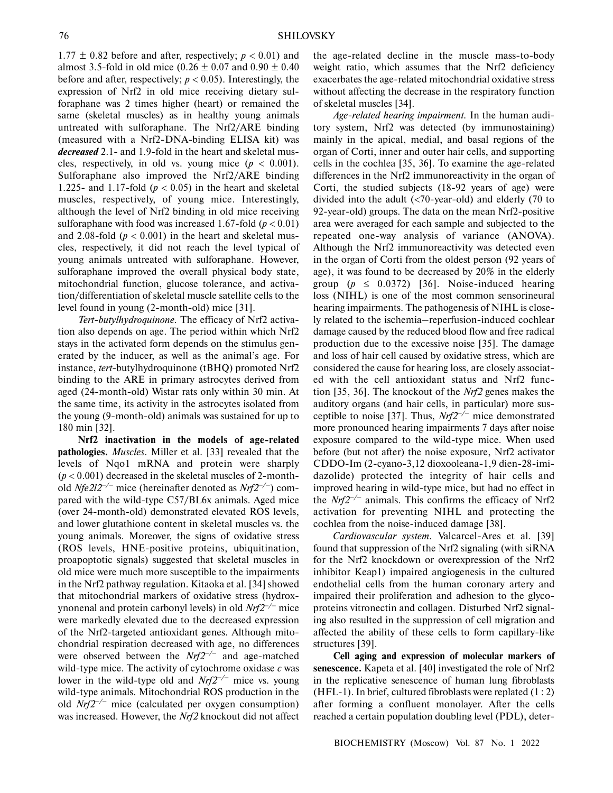$1.77 \pm 0.82$  before and after, respectively;  $p < 0.01$ ) and almost 3.5-fold in old mice  $(0.26 \pm 0.07$  and  $0.90 \pm 0.40$ before and after, respectively;  $p < 0.05$ ). Interestingly, the expression of Nrf2 in old mice receiving dietary sul foraphane was 2 times higher (heart) or remained the same (skeletal muscles) as in healthy young animals untreated with sulforaphane. The Nrf2/ARE binding (measured with a Nrf2-DNA-binding ELISA kit) was *decreased* 2.1- and 1.9-fold in the heart and skeletal mus cles, respectively, in old vs. young mice  $(p < 0.001)$ . Sulforaphane also improved the Nrf2/ARE binding 1.225- and 1.17-fold ( $p < 0.05$ ) in the heart and skeletal muscles, respectively, of young mice. Interestingly, although the level of Nrf2 binding in old mice receiving sulforaphane with food was increased  $1.67$ -fold ( $p < 0.01$ ) and 2.08-fold  $(p < 0.001)$  in the heart and skeletal muscles, respectively, it did not reach the level typical of young animals untreated with sulforaphane. However, sulforaphane improved the overall physical body state, mitochondrial function, glucose tolerance, and activa tion/differentiation of skeletal muscle satellite cells to the level found in young (2-month-old) mice [31].

*Tert-butylhydroquinone.* The efficacy of Nrf2 activa tion also depends on age. The period within which Nrf2 stays in the activated form depends on the stimulus gen erated by the inducer, as well as the animal's age. For instance, *tert*-butylhydroquinone (tBHQ) promoted Nrf2 binding to the ARE in primary astrocytes derived from aged (24-month-old) Wistar rats only within 30 min. At the same time, its activity in the astrocytes isolated from the young (9-month-old) animals was sustained for up to 180 min [32].

**Nrf2 inactivation in the models of age-related pathologies.** *Muscles*. Miller et al. [33] revealed that the levels of Nqo1 mRNA and protein were sharply  $(p < 0.001)$  decreased in the skeletal muscles of 2-monthold *Nfe2l2–/–* mice (hereinafter denoted as *Nrf2–/–*) com pared with the wild-type C57/BL6x animals. Aged mice (over 24-month-old) demonstrated elevated ROS levels, and lower glutathione content in skeletal muscles vs. the young animals. Moreover, the signs of oxidative stress (ROS levels, HNE-positive proteins, ubiquitination, proapoptotic signals) suggested that skeletal muscles in old mice were much more susceptible to the impairments in the Nrf2 pathway regulation. Kitaoka et al. [34] showed that mitochondrial markers of oxidative stress (hydrox ynonenal and protein carbonyl levels) in old *Nrf2–/–* mice were markedly elevated due to the decreased expression of the Nrf2-targeted antioxidant genes. Although mito chondrial respiration decreased with age, no differences were observed between the *Nrf2–/–* and age-matched wild-type mice. The activity of cytochrome oxidase *c* was lower in the wild-type old and *Nrf2–/–* mice vs. young wild-type animals. Mitochondrial ROS production in the old *Nrf2–/–* mice (calculated per oxygen consumption) was increased. However, the *Nrf2* knockout did not affect

the age-related decline in the muscle mass-to-body weight ratio, which assumes that the Nrf2 deficiency exacerbates the age-related mitochondrial oxidative stress without affecting the decrease in the respiratory function of skeletal muscles [34].

*Age-related hearing impairment.* In the human audi tory system, Nrf2 was detected (by immunostaining) mainly in the apical, medial, and basal regions of the organ of Corti, inner and outer hair cells, and supporting cells in the cochlea [35, 36]. To examine the age-related differences in the Nrf2 immunoreactivity in the organ of Corti, the studied subjects (18-92 years of age) were divided into the adult (<70-year-old) and elderly (70 to 92-year-old) groups. The data on the mean Nrf2-positive area were averaged for each sample and subjected to the repeated one-way analysis of variance (ANOVA). Although the Nrf2 immunoreactivity was detected even in the organ of Corti from the oldest person (92 years of age), it was found to be decreased by 20% in the elderly group  $(p \leq 0.0372)$  [36]. Noise-induced hearing loss (NIHL) is one of the most common sensorineural hearing impairments. The pathogenesis of NIHL is close ly related to the ischemia–reperfusion-induced cochlear damage caused by the reduced blood flow and free radical production due to the excessive noise [35]. The damage and loss of hair cell caused by oxidative stress, which are considered the cause for hearing loss, are closely associat ed with the cell antioxidant status and Nrf2 func tion [35, 36]. The knockout of the *Nrf2* genes makes the auditory organs (and hair cells, in particular) more sus ceptible to noise [37]. Thus, *Nrf2–/–* mice demonstrated more pronounced hearing impairments 7 days after noise exposure compared to the wild-type mice. When used before (but not after) the noise exposure, Nrf2 activator CDDO-Im (2-cyano-3,12 dioxooleana-1,9 dien-28-imi dazolide) protected the integrity of hair cells and improved hearing in wild-type mice, but had no effect in the *Nrf2–/–* animals. This confirms the efficacy of Nrf2 activation for preventing NIHL and protecting the cochlea from the noise-induced damage [38].

*Cardiovascular system.* Valcarcel-Ares et al. [39] found that suppression of the Nrf2 signaling (with siRNA for the Nrf2 knockdown or overexpression of the Nrf2 inhibitor Keap1) impaired angiogenesis in the cultured endothelial cells from the human coronary artery and impaired their proliferation and adhesion to the glyco proteins vitronectin and collagen. Disturbed Nrf2 signal ing also resulted in the suppression of cell migration and affected the ability of these cells to form capillary-like structures [39].

**Cell aging and expression of molecular markers of senescence.** Kapeta et al. [40] investigated the role of Nrf2 in the replicative senescence of human lung fibroblasts (HFL-1). In brief, cultured fibroblasts were replated (1 : 2) after forming a confluent monolayer. After the cells reached a certain population doubling level (PDL), deter-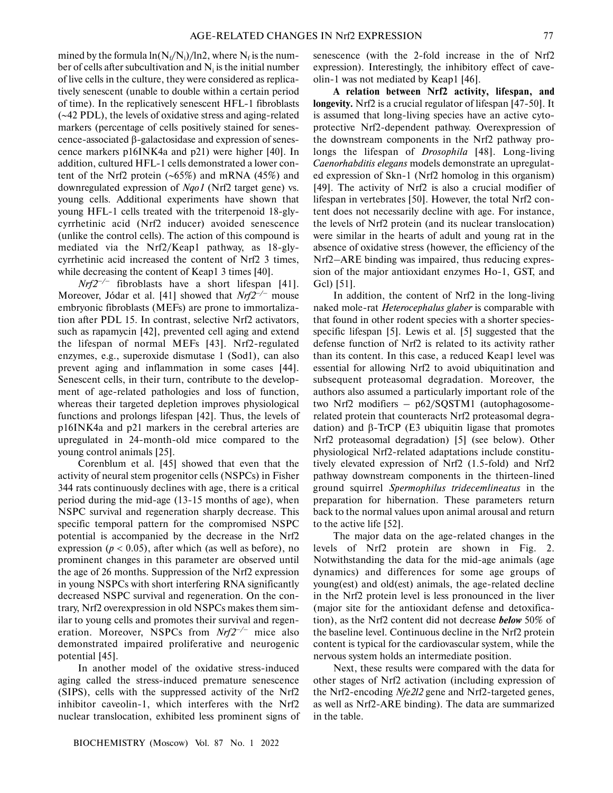mined by the formula  $\ln(N_f/N_i)/\ln 2$ , where  $N_f$  is the number of cells after subcultivation and  $N_i$  is the initial number of live cells in the culture, they were considered as replica tively senescent (unable to double within a certain period of time). In the replicatively senescent HFL-1 fibroblasts (∼42 PDL), the levels of oxidative stress and aging-related markers (percentage of cells positively stained for senes cence-associated β-galactosidase and expression of senes cence markers p16INK4a and p21) were higher [40]. In addition, cultured HFL-1 cells demonstrated a lower con tent of the Nrf2 protein (∼65%) and mRNA (45%) and downregulated expression of *Nqo1* (Nrf2 target gene) vs. young cells. Additional experiments have shown that young HFL-1 cells treated with the triterpenoid 18-gly cyrrhetinic acid (Nrf2 inducer) avoided senescence (unlike the control cells). The action of this compound is mediated via the Nrf2/Keap1 pathway, as 18-gly cyrrhetinic acid increased the content of Nrf2 3 times, while decreasing the content of Keap1 3 times [40].

 $Nrf2^{-/-}$  fibroblasts have a short lifespan [41]. Moreover, Jódar et al. [41] showed that *Nrf2–/–* mouse embryonic fibroblasts (MEFs) are prone to immortaliza tion after PDL 15. In contrast, selective Nrf2 activators, such as rapamycin [42], prevented cell aging and extend the lifespan of normal MEFs [43]. Nrf2-regulated enzymes, e.g., superoxide dismutase 1 (Sod1), can also prevent aging and inflammation in some cases [44]. Senescent cells, in their turn, contribute to the develop ment of age-related pathologies and loss of function, whereas their targeted depletion improves physiological functions and prolongs lifespan [42]. Thus, the levels of p16INK4a and p21 markers in the cerebral arteries are upregulated in 24-month-old mice compared to the young control animals [25].

Corenblum et al. [45] showed that even that the activity of neural stem progenitor cells (NSPCs) in Fisher 344 rats continuously declines with age, there is a critical period during the mid-age (13-15 months of age), when NSPC survival and regeneration sharply decrease. This specific temporal pattern for the compromised NSPC potential is accompanied by the decrease in the Nrf2 expression ( $p < 0.05$ ), after which (as well as before), no prominent changes in this parameter are observed until the age of 26 months. Suppression of the Nrf2 expression in young NSPCs with short interfering RNA significantly decreased NSPC survival and regeneration. On the con trary, Nrf2 overexpression in old NSPCs makes them sim ilar to young cells and promotes their survival and regen eration. Moreover, NSPCs from *Nrf2–/–* mice also demonstrated impaired proliferative and neurogenic potential [45].

In another model of the oxidative stress-induced aging called the stress-induced premature senescence (SIPS), cells with the suppressed activity of the Nrf2 inhibitor caveolin-1, which interferes with the Nrf2 nuclear translocation, exhibited less prominent signs of senescence (with the 2-fold increase in the of Nrf2 expression). Interestingly, the inhibitory effect of cave olin-1 was not mediated by Keap1 [46].

**A relation between Nrf2 activity, lifespan, and longevity.** Nrf2 is a crucial regulator of lifespan [47-50]. It is assumed that long-living species have an active cyto protective Nrf2-dependent pathway. Overexpression of the downstream components in the Nrf2 pathway pro longs the lifespan of *Drosophila* [48]. Long-living *Caenorhabditis elegans* models demonstrate an upregulat ed expression of Skn-1 (Nrf2 homolog in this organism) [49]. The activity of Nrf2 is also a crucial modifier of lifespan in vertebrates [50]. However, the total Nrf2 con tent does not necessarily decline with age. For instance, the levels of Nrf2 protein (and its nuclear translocation) were similar in the hearts of adult and young rat in the absence of oxidative stress (however, the efficiency of the Nrf2–ARE binding was impaired, thus reducing expres sion of the major antioxidant enzymes Ho-1, GST, and Gcl) [51].

In addition, the content of Nrf2 in the long-living naked mole-rat *Heterocephalus glaber* is comparable with that found in other rodent species with a shorter species specific lifespan [5]. Lewis et al. [5] suggested that the defense function of Nrf2 is related to its activity rather than its content. In this case, a reduced Keap1 level was essential for allowing Nrf2 to avoid ubiquitination and subsequent proteasomal degradation. Moreover, the authors also assumed a particularly important role of the two Nrf2 modifiers – p62/SQSTM1 (autophagosome related protein that counteracts Nrf2 proteasomal degra dation) and β-TrCP (E3 ubiquitin ligase that promotes Nrf2 proteasomal degradation) [5] (see below). Other physiological Nrf2-related adaptations include constitu tively elevated expression of Nrf2 (1.5-fold) and Nrf2 pathway downstream components in the thirteen-lined ground squirrel *Spermophilus tridecemlineatus* in the preparation for hibernation. These parameters return back to the normal values upon animal arousal and return to the active life [52].

The major data on the age-related changes in the levels of Nrf2 protein are shown in Fig. 2. Notwithstanding the data for the mid-age animals (age dynamics) and differences for some age groups of young(est) and old(est) animals, the age-related decline in the Nrf2 protein level is less pronounced in the liver (major site for the antioxidant defense and detoxifica tion), as the Nrf2 content did not decrease *below* 50% of the baseline level. Continuous decline in the Nrf2 protein content is typical for the cardiovascular system, while the nervous system holds an intermediate position.

Next, these results were compared with the data for other stages of Nrf2 activation (including expression of the Nrf2-encoding *Nfe2l2* gene and Nrf2-targeted genes, as well as Nrf2-ARE binding). The data are summarized in the table.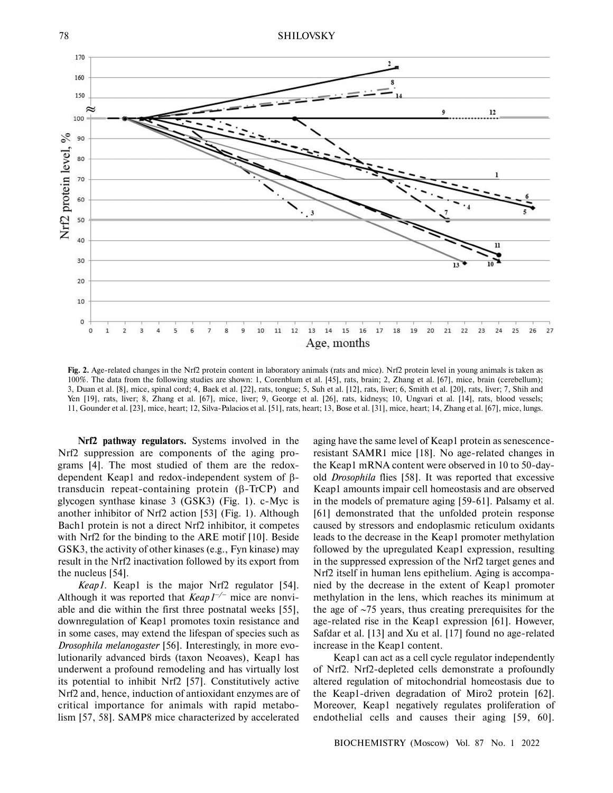

**Fig. 2.** Age-related changes in the Nrf2 protein content in laboratory animals (rats and mice). Nrf2 protein level in young animals is taken as 100%. The data from the following studies are shown: 1, Corenblum et al. [45], rats, brain; 2, Zhang et al. [67], mice, brain (cerebellum); 3, Duan et al. [8], mice, spinal cord; 4, Baek et al. [22], rats, tongue; 5, Suh et al. [12], rats, liver; 6, Smith et al. [20], rats, liver; 7, Shih and Yen [19], rats, liver; 8, Zhang et al. [67], mice, liver; 9, George et al. [26], rats, kidneys; 10, Ungvari et al. [14], rats, blood vessels; 11, Gounder et al. [23], mice, heart; 12, Silva-Palacios et al. [51], rats, heart; 13, Bose et al. [31], mice, heart; 14, Zhang et al. [67], mice, lungs.

**Nrf2 pathway regulators.** Systems involved in the Nrf2 suppression are components of the aging pro grams [4]. The most studied of them are the redox dependent Keap1 and redox-independent system of β transducin repeat-containing protein (β-TrCP) and glycogen synthase kinase 3 (GSK3) (Fig. 1). c-Myc is another inhibitor of Nrf2 action [53] (Fig. 1). Although Bach1 protein is not a direct Nrf2 inhibitor, it competes with Nrf2 for the binding to the ARE motif [10]. Beside GSK3, the activity of other kinases (e.g., Fyn kinase) may result in the Nrf2 inactivation followed by its export from the nucleus [54].

*Keap1*. Keap1 is the major Nrf2 regulator [54]. Although it was reported that *Keap1–/–* mice are nonvi able and die within the first three postnatal weeks [55], downregulation of Keap1 promotes toxin resistance and in some cases, may extend the lifespan of species such as *Drosophila melanogaster* [56]. Interestingly, in more evo lutionarily advanced birds (taxon Neoaves), Keap1 has underwent a profound remodeling and has virtually lost its potential to inhibit Nrf2 [57]. Constitutively active Nrf2 and, hence, induction of antioxidant enzymes are of critical importance for animals with rapid metabo lism [57, 58]. SAMP8 mice characterized by accelerated

aging have the same level of Keap1 protein as senescence resistant SAMR1 mice [18]. No age-related changes in the Keap1 mRNA content were observed in 10 to 50-day old *Drosophila* flies [58]. It was reported that excessive Keap1 amounts impair cell homeostasis and are observed in the models of premature aging [59-61]. Palsamy et al. [61] demonstrated that the unfolded protein response caused by stressors and endoplasmic reticulum oxidants leads to the decrease in the Keap1 promoter methylation followed by the upregulated Keap1 expression, resulting in the suppressed expression of the Nrf2 target genes and Nrf2 itself in human lens epithelium. Aging is accompa nied by the decrease in the extent of Keap1 promoter methylation in the lens, which reaches its minimum at the age of ∼75 years, thus creating prerequisites for the age-related rise in the Keap1 expression [61]. However, Safdar et al. [13] and Xu et al. [17] found no age-related increase in the Keap1 content.

Keap1 can act as a cell cycle regulator independently of Nrf2. Nrf2-depleted cells demonstrate a profoundly altered regulation of mitochondrial homeostasis due to the Keap1-driven degradation of Miro2 protein [62]. Moreover, Keap1 negatively regulates proliferation of endothelial cells and causes their aging [59, 60].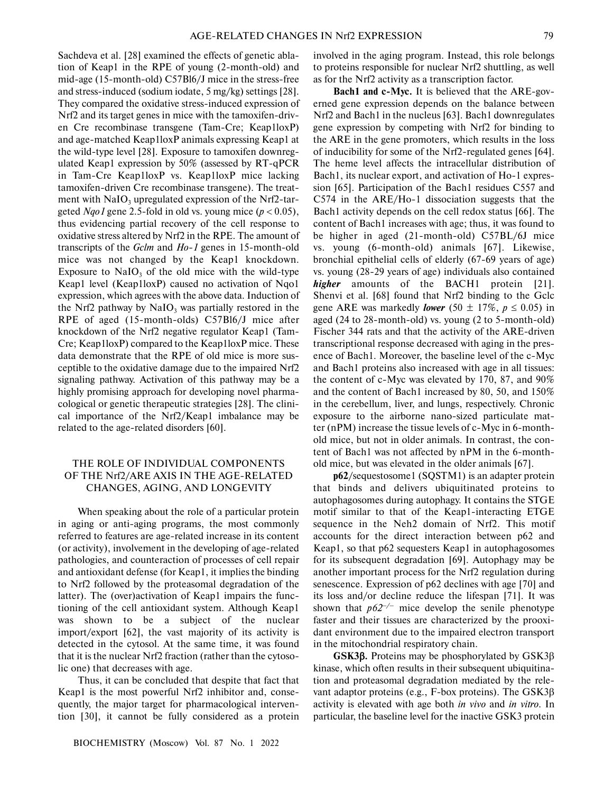Sachdeva et al. [28] examined the effects of genetic abla tion of Keap1 in the RPE of young (2-month-old) and mid-age (15-month-old) C57Bl6/J mice in the stress-free and stress-induced (sodium iodate, 5 mg/kg) settings [28]. They compared the oxidative stress-induced expression of Nrf2 and its target genes in mice with the tamoxifen-driv en Cre recombinase transgene (Tam-Cre; Keap1loxP) and age-matched Keap1loxP animals expressing Keap1 at the wild-type level [28]. Exposure to tamoxifen downreg ulated Keap1 expression by 50% (assessed by RT-qPCR in Tam-Cre Keap1loxP vs. Keap1loxP mice lacking tamoxifen-driven Cre recombinase transgene). The treat ment with  $\text{NaIO}_3$  upregulated expression of the Nrf2-targeted *Nqo1* gene 2.5-fold in old vs. young mice (*p* < 0.05), thus evidencing partial recovery of the cell response to oxidative stress altered by Nrf2 in the RPE. The amount of transcripts of the *Gclm* and *Ho-1* genes in 15-month-old mice was not changed by the Keap1 knockdown. Exposure to  $NaIO<sub>3</sub>$  of the old mice with the wild-type Keap1 level (Keap1loxP) caused no activation of Nqo1 expression, which agrees with the above data. Induction of the Nrf2 pathway by  $NaIO_3$  was partially restored in the RPE of aged (15-month-olds) C57Bl6/J mice after knockdown of the Nrf2 negative regulator Keap1 (Tam- Cre; Keap1loxP) compared to the Keap1loxP mice. These data demonstrate that the RPE of old mice is more sus ceptible to the oxidative damage due to the impaired Nrf2 signaling pathway. Activation of this pathway may be a highly promising approach for developing novel pharma cological or genetic therapeutic strategies [28]. The clini cal importance of the Nrf2/Keap1 imbalance may be related to the age-related disorders [60].

# THE ROLE OF INDIVIDUAL COMPONENTS OF THE Nrf2/ARE AXIS IN THE AGE-RELATED CHANGES, AGING, AND LONGEVITY

When speaking about the role of a particular protein in aging or anti-aging programs, the most commonly referred to features are age-related increase in its content (or activity), involvement in the developing of age-related pathologies, and counteraction of processes of cell repair and antioxidant defense (for Keap1, it implies the binding to Nrf2 followed by the proteasomal degradation of the latter). The (over)activation of Keap1 impairs the func tioning of the cell antioxidant system. Although Keap1 was shown to be a subject of the nuclear import/export [62], the vast majority of its activity is detected in the cytosol. At the same time, it was found that it is the nuclear Nrf2 fraction (rather than the cytoso lic one) that decreases with age.

Thus, it can be concluded that despite that fact that Keap1 is the most powerful Nrf2 inhibitor and, conse quently, the major target for pharmacological interven tion [30], it cannot be fully considered as a protein

involved in the aging program. Instead, this role belongs to proteins responsible for nuclear Nrf2 shuttling, as well as for the Nrf2 activity as a transcription factor.

Bach1 and c-Myc. It is believed that the ARE-governed gene expression depends on the balance between Nrf2 and Bach1 in the nucleus [63]. Bach1 downregulates gene expression by competing with Nrf2 for binding to the ARE in the gene promoters, which results in the loss of inducibility for some of the Nrf2-regulated genes [64]. The heme level affects the intracellular distribution of Bach1, its nuclear export, and activation of Ho-1 expres sion [65]. Participation of the Bach1 residues C557 and C574 in the ARE/Ho-1 dissociation suggests that the Bach1 activity depends on the cell redox status [66]. The content of Bach1 increases with age; thus, it was found to be higher in aged (21-month-old) C57BL/6J mice vs. young (6-month-old) animals [67]. Likewise, bronchial epithelial cells of elderly (67-69 years of age) vs. young (28-29 years of age) individuals also contained *higher* amounts of the BACH1 protein [21]. Shenvi et al. [68] found that Nrf2 binding to the Gclc gene ARE was markedly *lower* (50  $\pm$  17%,  $p \le 0.05$ ) in aged (24 to 28-month-old) vs. young (2 to 5-month-old) Fischer 344 rats and that the activity of the ARE-driven transcriptional response decreased with aging in the pres ence of Bach1. Moreover, the baseline level of the c-Myc and Bach1 proteins also increased with age in all tissues: the content of c-Myc was elevated by 170, 87, and 90% and the content of Bach1 increased by 80, 50, and 150% in the cerebellum, liver, and lungs, respectively. Chronic exposure to the airborne nano-sized particulate mat ter (nPM) increase the tissue levels of c-Myc in 6-month old mice, but not in older animals. In contrast, the con tent of Bach1 was not affected by nPM in the 6-month old mice, but was elevated in the older animals [67].

**p62**/sequestosome1 (SQSTM1) is an adapter protein that binds and delivers ubiquitinated proteins to autophagosomes during autophagy. It contains the STGE motif similar to that of the Keap1-interacting ETGE sequence in the Neh2 domain of Nrf2. This motif accounts for the direct interaction between p62 and Keap1, so that p62 sequesters Keap1 in autophagosomes for its subsequent degradation [69]. Autophagy may be another important process for the Nrf2 regulation during senescence. Expression of p62 declines with age [70] and its loss and/or decline reduce the lifespan [71]. It was shown that  $p62^{-/-}$  mice develop the senile phenotype faster and their tissues are characterized by the prooxi dant environment due to the impaired electron transport in the mitochondrial respiratory chain.

**GSK3**β**.** Proteins may be phosphorylated by GSK3β kinase, which often results in their subsequent ubiquitina tion and proteasomal degradation mediated by the rele vant adaptor proteins (e.g., F-box proteins). The GSK3β activity is elevated with age both *in vivo* and *in vitro*. In particular, the baseline level for the inactive GSK3 protein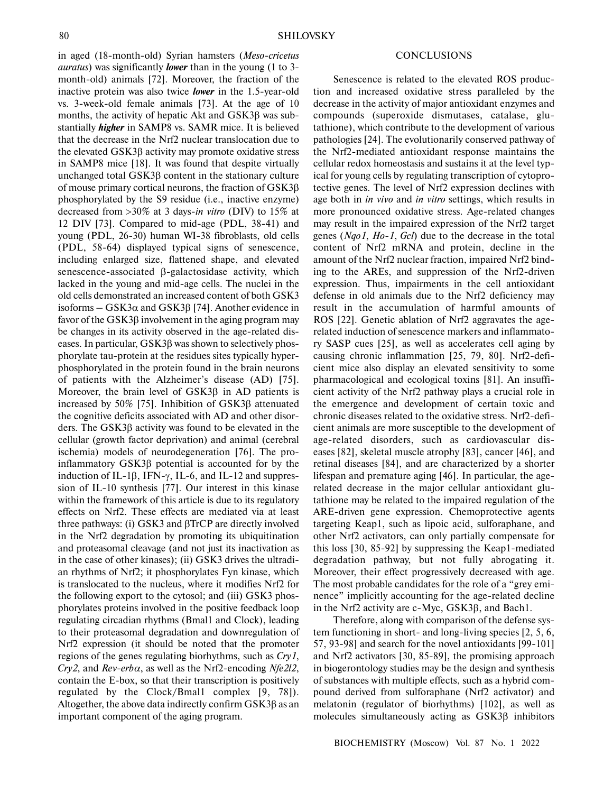in aged (18-month-old) Syrian hamsters (*Meso-cricetus auratus*) was significantly *lower* than in the young (1 to 3 month-old) animals [72]. Moreover, the fraction of the inactive protein was also twice **lower** in the 1.5-year-old vs. 3-week-old female animals [73]. At the age of 10 months, the activity of hepatic Akt and GSK3β was sub stantially *higher* in SAMP8 vs. SAMR mice. It is believed that the decrease in the Nrf2 nuclear translocation due to the elevated GSK3β activity may promote oxidative stress in SAMP8 mice [18]. It was found that despite virtually unchanged total GSK3β content in the stationary culture of mouse primary cortical neurons, the fraction of GSK3β phosphorylated by the S9 residue (i.e., inactive enzyme) decreased from >30% at 3 days-*in vitro* (DIV) to 15% at 12 DIV [73]. Compared to mid-age (PDL, 38-41) and young (PDL, 26-30) human WI-38 fibroblasts, old cells (PDL, 58-64) displayed typical signs of senescence, including enlarged size, flattened shape, and elevated senescence-associated β-galactosidase activity, which lacked in the young and mid-age cells. The nuclei in the old cells demonstrated an increased content of both GSK3 isoforms – GSK3 $α$  and GSK3 $β$  [74]. Another evidence in favor of the GSK3β involvement in the aging program may be changes in its activity observed in the age-related dis eases. In particular, GSK3β was shown to selectively phos phorylate tau-protein at the residues sites typically hyper phosphorylated in the protein found in the brain neurons of patients with the Alzheimer's disease (AD) [75]. Moreover, the brain level of GSK3β in AD patients is increased by 50% [75]. Inhibition of GSK3β attenuated the cognitive deficits associated with AD and other disor ders. The GSK3β activity was found to be elevated in the cellular (growth factor deprivation) and animal (cerebral ischemia) models of neurodegeneration [76]. The pro inflammatory GSK3β potential is accounted for by the induction of IL-1 $\beta$ , IFN- $\gamma$ , IL-6, and IL-12 and suppression of IL-10 synthesis [77]. Our interest in this kinase within the framework of this article is due to its regulatory effects on Nrf2. These effects are mediated via at least three pathways: (i) GSK3 and βTrCP are directly involved in the Nrf2 degradation by promoting its ubiquitination and proteasomal cleavage (and not just its inactivation as in the case of other kinases); (ii) GSK3 drives the ultradi an rhythms of Nrf2; it phosphorylates Fyn kinase, which is translocated to the nucleus, where it modifies Nrf2 for the following export to the cytosol; and (iii) GSK3 phos phorylates proteins involved in the positive feedback loop regulating circadian rhythms (Bmal1 and Clock), leading to their proteasomal degradation and downregulation of Nrf2 expression (it should be noted that the promoter regions of the genes regulating biorhythms, such as *Cry1*, *Cry2*, and *Rev-erb*α, as well as the Nrf2-encoding *Nfe2l2*, contain the E-box, so that their transcription is positively regulated by the Clock/Bmal1 complex [9, 78]). Altogether, the above data indirectly confirm GSK3β as an important component of the aging program.

#### **CONCLUSIONS**

Senescence is related to the elevated ROS produc tion and increased oxidative stress paralleled by the decrease in the activity of major antioxidant enzymes and compounds (superoxide dismutases, catalase, glu tathione), which contribute to the development of various pathologies [24]. The evolutionarily conserved pathway of the Nrf2-mediated antioxidant response maintains the cellular redox homeostasis and sustains it at the level typ ical for young cells by regulating transcription of cytopro tective genes. The level of Nrf2 expression declines with age both in *in vivo* and *in vitro* settings, which results in more pronounced oxidative stress. Age-related changes may result in the impaired expression of the Nrf2 target genes (*Nqo1*, *Ho-1*, *Gcl*) due to the decrease in the total content of Nrf2 mRNA and protein, decline in the amount of the Nrf2 nuclear fraction, impaired Nrf2 bind ing to the AREs, and suppression of the Nrf2-driven expression. Thus, impairments in the cell antioxidant defense in old animals due to the Nrf2 deficiency may result in the accumulation of harmful amounts of ROS [22]. Genetic ablation of Nrf2 aggravates the age related induction of senescence markers and inflammato ry SASP cues [25], as well as accelerates cell aging by causing chronic inflammation [25, 79, 80]. Nrf2-defi cient mice also display an elevated sensitivity to some pharmacological and ecological toxins [81]. An insuffi cient activity of the Nrf2 pathway plays a crucial role in the emergence and development of certain toxic and chronic diseases related to the oxidative stress. Nrf2-defi cient animals are more susceptible to the development of age-related disorders, such as cardiovascular dis eases [82], skeletal muscle atrophy [83], cancer [46], and retinal diseases [84], and are characterized by a shorter lifespan and premature aging [46]. In particular, the age related decrease in the major cellular antioxidant glu tathione may be related to the impaired regulation of the ARE-driven gene expression. Chemoprotective agents targeting Keap1, such as lipoic acid, sulforaphane, and other Nrf2 activators, can only partially compensate for this loss [30, 85-92] by suppressing the Keap1-mediated degradation pathway, but not fully abrogating it. Moreover, their effect progressively decreased with age. The most probable candidates for the role of a "grey emi nence" implicitly accounting for the age-related decline in the Nrf2 activity are c-Myc, GSK3β, and Bach1.

Therefore, along with comparison of the defense sys tem functioning in short- and long-living species [2, 5, 6, 57, 93-98] and search for the novel antioxidants [99-101] and Nrf2 activators [30, 85-89], the promising approach in biogerontology studies may be the design and synthesis of substances with multiple effects, such as a hybrid com pound derived from sulforaphane (Nrf2 activator) and melatonin (regulator of biorhythms) [102], as well as molecules simultaneously acting as GSK3β inhibitors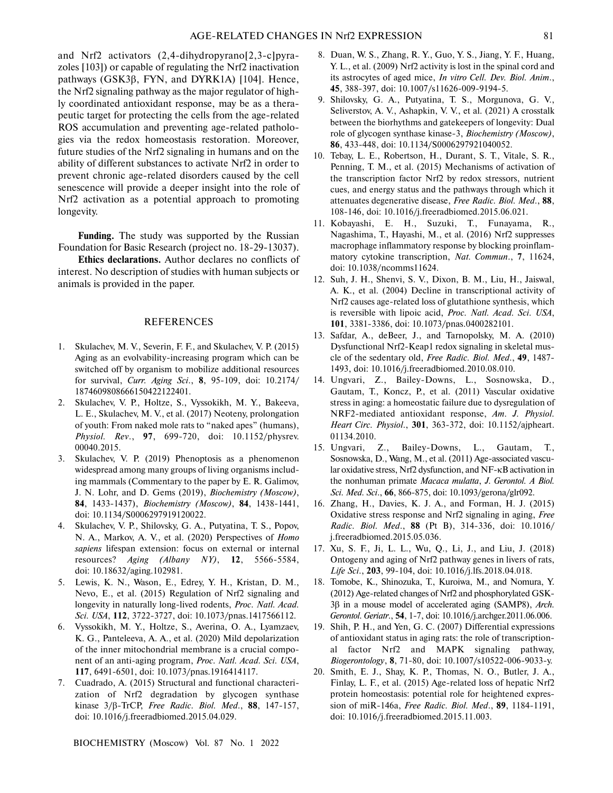and Nrf2 activators (2,4-dihydropyrano[2,3-c]pyra zoles [103]) or capable of regulating the Nrf2 inactivation pathways (GSK3β, FYN, and DYRK1A) [104]. Hence, the Nrf2 signaling pathway as the major regulator of high ly coordinated antioxidant response, may be as a thera peutic target for protecting the cells from the age-related ROS accumulation and preventing age-related patholo gies via the redox homeostasis restoration. Moreover, future studies of the Nrf2 signaling in humans and on the ability of different substances to activate Nrf2 in order to prevent chronic age-related disorders caused by the cell senescence will provide a deeper insight into the role of Nrf2 activation as a potential approach to promoting longevity.

**Funding.** The study was supported by the Russian Foundation for Basic Research (project no. 18-29-13037).

**Ethics declarations.** Author declares no conflicts of interest. No description of studies with human subjects or animals is provided in the paper.

#### REFERENCES

- 1. Skulachev, M. V., Severin, F. F., and Skulachev, V. P. (2015) Aging as an evolvability-increasing program which can be switched off by organism to mobilize additional resources for survival, *Curr. Aging Sci*., **8**, 95-109, doi: 10.2174/ 1874609808666150422122401.
- 2. Skulachev, V. P., Holtze, S., Vyssokikh, M. Y., Bakeeva, L. E., Skulachev, M. V., et al. (2017) Neoteny, prolongation of youth: From naked mole rats to "naked apes" (humans), *Physiol. Rev*., **97**, 699-720, doi: 10.1152/physrev. 00040.2015.
- 3. Skulachev, V. P. (2019) Phenoptosis as a phenomenon widespread among many groups of living organisms includ ing mammals (Commentary to the paper by E. R. Galimov, J. N. Lohr, and D. Gems (2019), *Biochemistry (Moscow)*, **84**, 1433-1437), *Biochemistry (Moscow)*, **84**, 1438-1441, doi: 10.1134/S0006297919120022.
- 4. Skulachev, V. P., Shilovsky, G. A., Putyatina, T. S., Popov, N. A., Markov, A. V., et al. (2020) Perspectives of *Homo sapiens* lifespan extension: focus on external or internal resources? *Aging (Albany NY)*, **12**, 5566-5584, doi: 10.18632/aging.102981.
- 5. Lewis, K. N., Wason, E., Edrey, Y. H., Kristan, D. M., Nevo, E., et al. (2015) Regulation of Nrf2 signaling and longevity in naturally long-lived rodents, *Proc. Natl. Acad. Sci. USA*, **112**, 3722-3727, doi: 10.1073/pnas.1417566112.
- 6. Vyssokikh, M. Y., Holtze, S., Averina, O. A., Lyamzaev, K. G., Panteleeva, A. A., et al. (2020) Mild depolarization of the inner mitochondrial membrane is a crucial compo nent of an anti-aging program, *Proc. Natl. Acad. Sci. USA*, **117**, 6491-6501, doi: 10.1073/pnas.1916414117.
- 7. Cuadrado, A. (2015) Structural and functional characteri zation of Nrf2 degradation by glycogen synthase kinase 3/β-TrCP, *Free Radic. Biol. Med*., **88**, 147-157, doi: 10.1016/j.freeradbiomed.2015.04.029.

- 8. Duan, W. S., Zhang, R. Y., Guo, Y. S., Jiang, Y. F., Huang, Y. L., et al. (2009) Nrf2 activity is lost in the spinal cord and its astrocytes of aged mice, *In vitro Cell. Dev. Biol. Anim*., **45**, 388-397, doi: 10.1007/s11626-009-9194-5.
- 9. Shilovsky, G. A., Putyatina, T. S., Morgunova, G. V., Seliverstov, A. V., Ashapkin, V. V., et al. (2021) A crosstalk between the biorhythms and gatekeepers of longevity: Dual role of glycogen synthase kinase-3, *Biochemistry (Moscow)*, **86**, 433-448, doi: 10.1134/S0006297921040052.
- 10. Tebay, L. E., Robertson, H., Durant, S. T., Vitale, S. R., Penning, T. M., et al. (2015) Mechanisms of activation of the transcription factor Nrf2 by redox stressors, nutrient cues, and energy status and the pathways through which it attenuates degenerative disease, *Free Radic. Biol. Med*., **88**, 108-146, doi: 10.1016/j.freeradbiomed.2015.06.021.
- 11. Kobayashi, E. H., Suzuki, T., Funayama, R., Nagashima, T., Hayashi, M., et al. (2016) Nrf2 suppresses macrophage inflammatory response by blocking proinflam matory cytokine transcription, *Nat. Commun*., **7**, 11624, doi: 10.1038/ncomms11624.
- 12. Suh, J. H., Shenvi, S. V., Dixon, B. M., Liu, H., Jaiswal, A. K., et al. (2004) Decline in transcriptional activity of Nrf2 causes age-related loss of glutathione synthesis, which is reversible with lipoic acid, *Proc. Natl. Acad. Sci. USA*, **101**, 3381-3386, doi: 10.1073/pnas.0400282101.
- 13. Safdar, A., deBeer, J., and Tarnopolsky, M. A. (2010) Dysfunctional Nrf2-Keap1 redox signaling in skeletal mus cle of the sedentary old, *Free Radic. Biol. Med*., **49**, 1487- 1493, doi: 10.1016/j.freeradbiomed.2010.08.010.
- 14. Ungvari, Z., Bailey-Downs, L., Sosnowska, D., Gautam, T., Koncz, P., et al. (2011) Vascular oxidative stress in aging: a homeostatic failure due to dysregulation of NRF2-mediated antioxidant response, *Am. J. Physiol. Heart Circ. Physiol*., **301**, 363-372, doi: 10.1152/ajpheart. 01134.2010.
- 15. Ungvari, Z., Bailey-Downs, L., Gautam, T., Sosnowska, D., Wang, M., et al. (2011) Age-associated vascu lar oxidative stress, Nrf2 dysfunction, and NF-κB activation in the nonhuman primate *Macaca mulatta*, *J. Gerontol. A Biol. Sci. Med. Sci*., **66**, 866-875, doi: 10.1093/gerona/glr092.
- 16. Zhang, H., Davies, K. J. A., and Forman, H. J. (2015) Oxidative stress response and Nrf2 signaling in aging, *Free Radic. Biol. Med*., **88** (Pt B), 314-336, doi: 10.1016/ j.freeradbiomed.2015.05.036.
- 17. Xu, S. F., Ji, L. L., Wu, Q., Li, J., and Liu, J. (2018) Ontogeny and aging of Nrf2 pathway genes in livers of rats, *Life Sci*., **203**, 99-104, doi: 10.1016/j.lfs.2018.04.018.
- 18. Tomobe, K., Shinozuka, T., Kuroiwa, M., and Nomura, Y. (2012) Age-related changes of Nrf2 and phosphorylated GSK- 3β in a mouse model of accelerated aging (SAMP8), *Arch. Gerontol. Geriatr*., **54**, 1-7, doi: 10.1016/j.archger.2011.06.006.
- 19. Shih, P. H., and Yen, G. C. (2007) Differential expressions of antioxidant status in aging rats: the role of transcription al factor Nrf2 and MAPK signaling pathway, *Biogerontology*, **8**, 71-80, doi: 10.1007/s10522-006-9033-y.
- 20. Smith, E. J., Shay, K. P., Thomas, N. O., Butler, J. A., Finlay, L. F., et al. (2015) Age-related loss of hepatic Nrf2 protein homeostasis: potential role for heightened expres sion of miR-146a, *Free Radic. Biol. Med*., **89**, 1184-1191, doi: 10.1016/j.freeradbiomed.2015.11.003.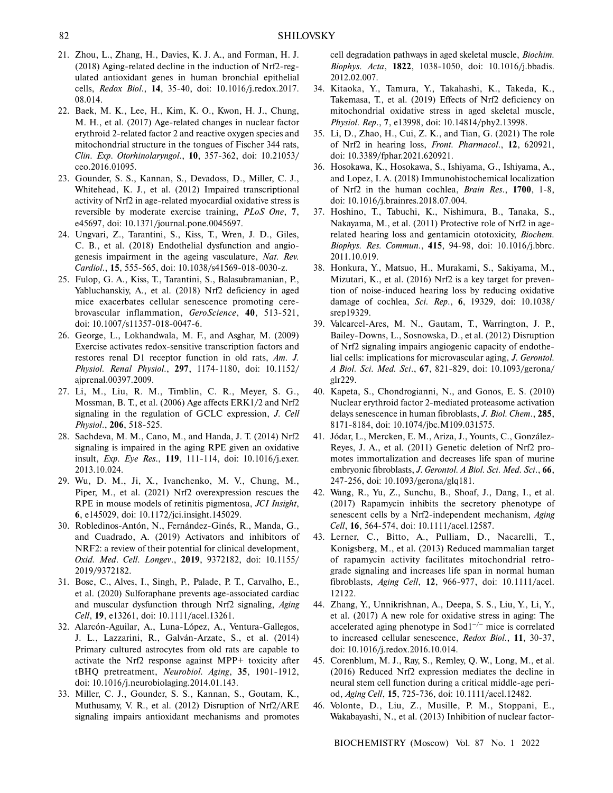- 21. Zhou, L., Zhang, H., Davies, K. J. A., and Forman, H. J. (2018) Aging-related decline in the induction of Nrf2-reg ulated antioxidant genes in human bronchial epithelial cells, *Redox Biol*., **14**, 35-40, doi: 10.1016/j.redox.2017. 08.014.
- 22. Baek, M. K., Lee, H., Kim, K. O., Kwon, H. J., Chung, M. H., et al. (2017) Age-related changes in nuclear factor erythroid 2-related factor 2 and reactive oxygen species and mitochondrial structure in the tongues of Fischer 344 rats, *Clin. Exp. Otorhinolaryngol*., **10**, 357-362, doi: 10.21053/ ceo.2016.01095.
- 23. Gounder, S. S., Kannan, S., Devadoss, D., Miller, C. J., Whitehead, K. J., et al. (2012) Impaired transcriptional activity of Nrf2 in age-related myocardial oxidative stress is reversible by moderate exercise training, *PLoS One*, **7**, e45697, doi: 10.1371/journal.pone.0045697.
- 24. Ungvari, Z., Tarantini, S., Kiss, T., Wren, J. D., Giles, C. B., et al. (2018) Endothelial dysfunction and angio genesis impairment in the ageing vasculature, *Nat. Rev. Cardiol*., **15**, 555-565, doi: 10.1038/s41569-018-0030-z.
- 25. Fulop, G. A., Kiss, T., Tarantini, S., Balasubramanian, P., Yabluchanskiy, A., et al. (2018) Nrf2 deficiency in aged mice exacerbates cellular senescence promoting cere brovascular inflammation, *GeroScience*, **40**, 513-521, doi: 10.1007/s11357-018-0047-6.
- 26. George, L., Lokhandwala, M. F., and Asghar, M. (2009) Exercise activates redox-sensitive transcription factors and restores renal D1 receptor function in old rats, *Am. J. Physiol. Renal Physiol*., **297**, 1174-1180, doi: 10.1152/ ajprenal.00397.2009.
- 27. Li, M., Liu, R. M., Timblin, C. R., Meyer, S. G., Mossman, B. T., et al. (2006) Age affects ERK1/2 and Nrf2 signaling in the regulation of GCLC expression, *J. Cell Physiol*., **206**, 518-525.
- 28. Sachdeva, M. M., Cano, M., and Handa, J. T. (2014) Nrf2 signaling is impaired in the aging RPE given an oxidative insult, *Exp. Eye Res*., **119**, 111-114, doi: 10.1016/j.exer. 2013.10.024.
- 29. Wu, D. M., Ji, X., Ivanchenko, M. V., Chung, M., Piper, M., et al. (2021) Nrf2 overexpression rescues the RPE in mouse models of retinitis pigmentosa, *JCI Insight*, **6**, e145029, doi: 10.1172/jci.insight.145029.
- 30. Robledinos-Antón, N., Fernández-Ginés, R., Manda, G., and Cuadrado, A. (2019) Activators and inhibitors of NRF2: a review of their potential for clinical development, *Oxid. Med*. *Cell*. *Longev*., **2019**, 9372182, doi: 10.1155/ 2019/9372182.
- 31. Bose, C., Alves, I., Singh, P., Palade, P. T., Carvalho, E., et al. (2020) Sulforaphane prevents age-associated cardiac and muscular dysfunction through Nrf2 signaling, *Aging Cell*, **19**, e13261, doi: 10.1111/acel.13261.
- 32. Alarcón-Aguilar, A., Luna-López, A., Ventura-Gallegos, J. L., Lazzarini, R., Galván-Arzate, S., et al. (2014) Primary cultured astrocytes from old rats are capable to activate the Nrf2 response against MPP+ toxicity after tBHQ pretreatment, *Neurobiol. Aging*, **35**, 1901-1912, doi: 10.1016/j.neurobiolaging.2014.01.143.
- 33. Miller, C. J., Gounder, S. S., Kannan, S., Goutam, K., Muthusamy, V. R., et al. (2012) Disruption of Nrf2/ARE signaling impairs antioxidant mechanisms and promotes

cell degradation pathways in aged skeletal muscle, *Biochim. Biophys. Acta*, **1822**, 1038-1050, doi: 10.1016/j.bbadis. 2012.02.007.

- 34. Kitaoka, Y., Tamura, Y., Takahashi, K., Takeda, K., Takemasa, T., et al. (2019) Effects of Nrf2 deficiency on mitochondrial oxidative stress in aged skeletal muscle, *Physiol. Rep*., **7**, e13998, doi: 10.14814/phy2.13998.
- 35. Li, D., Zhao, H., Cui, Z. K., and Tian, G. (2021) The role of Nrf2 in hearing loss, *Front. Pharmacol*., **12**, 620921, doi: 10.3389/fphar.2021.620921.
- 36. Hosokawa, K., Hosokawa, S., Ishiyama, G., Ishiyama, A., and Lopez, I. A. (2018) Immunohistochemical localization of Nrf2 in the human cochlea, *Brain Res*., **1700**, 1-8, doi: 10.1016/j.brainres.2018.07.004.
- 37. Hoshino, T., Tabuchi, K., Nishimura, B., Tanaka, S., Nakayama, M., et al. (2011) Protective role of Nrf2 in age related hearing loss and gentamicin ototoxicity, *Biochem. Biophys. Res. Commun*., **415**, 94-98, doi: 10.1016/j.bbrc. 2011.10.019.
- 38. Honkura, Y., Matsuo, H., Murakami, S., Sakiyama, M., Mizutari, K., et al. (2016) Nrf2 is a key target for preven tion of noise-induced hearing loss by reducing oxidative damage of cochlea, *Sci. Rep*., **6**, 19329, doi: 10.1038/ srep19329.
- 39. Valcarcel-Ares, M. N., Gautam, T., Warrington, J. P., Bailey-Downs, L., Sosnowska, D., et al. (2012) Disruption of Nrf2 signaling impairs angiogenic capacity of endothe lial cells: implications for microvascular aging, *J. Gerontol. A Biol. Sci. Med. Sci*., **67**, 821-829, doi: 10.1093/gerona/ glr229.
- 40. Kapeta, S., Chondrogianni, N., and Gonos, E. S. (2010) Nuclear erythroid factor 2-mediated proteasome activation delays senescence in human fibroblasts, *J. Biol. Chem*., **285**, 8171-8184, doi: 10.1074/jbc.M109.031575.
- 41. Jódar, L., Mercken, E. M., Ariza, J., Younts, C., González- Reyes, J. A., et al. (2011) Genetic deletion of Nrf2 pro motes immortalization and decreases life span of murine embryonic fibroblasts, *J. Gerontol. A Biol. Sci. Med. Sci*., **66**, 247-256, doi: 10.1093/gerona/glq181.
- 42. Wang, R., Yu, Z., Sunchu, B., Shoaf, J., Dang, I., et al. (2017) Rapamycin inhibits the secretory phenotype of senescent cells by a Nrf2-independent mechanism, *Aging Cell*, **16**, 564-574, doi: 10.1111/acel.12587.
- 43. Lerner, C., Bitto, A., Pulliam, D., Nacarelli, T., Konigsberg, M., et al. (2013) Reduced mammalian target of rapamycin activity facilitates mitochondrial retro grade signaling and increases life span in normal human fibroblasts, *Aging Cell*, **12**, 966-977, doi: 10.1111/acel. 12122.
- 44. Zhang, Y., Unnikrishnan, A., Deepa, S. S., Liu, Y., Li, Y., et al. (2017) A new role for oxidative stress in aging: The accelerated aging phenotype in  $Sod1^{-/-}$  mice is correlated to increased cellular senescence, *Redox Biol*., **11**, 30-37, doi: 10.1016/j.redox.2016.10.014.
- 45. Corenblum, M. J., Ray, S., Remley, Q. W., Long, M., et al. (2016) Reduced Nrf2 expression mediates the decline in neural stem cell function during a critical middle-age peri od, *Aging Cell*, **15**, 725-736, doi: 10.1111/acel.12482.
- 46. Volonte, D., Liu, Z., Musille, P. M., Stoppani, E., Wakabayashi, N., et al. (2013) Inhibition of nuclear factor-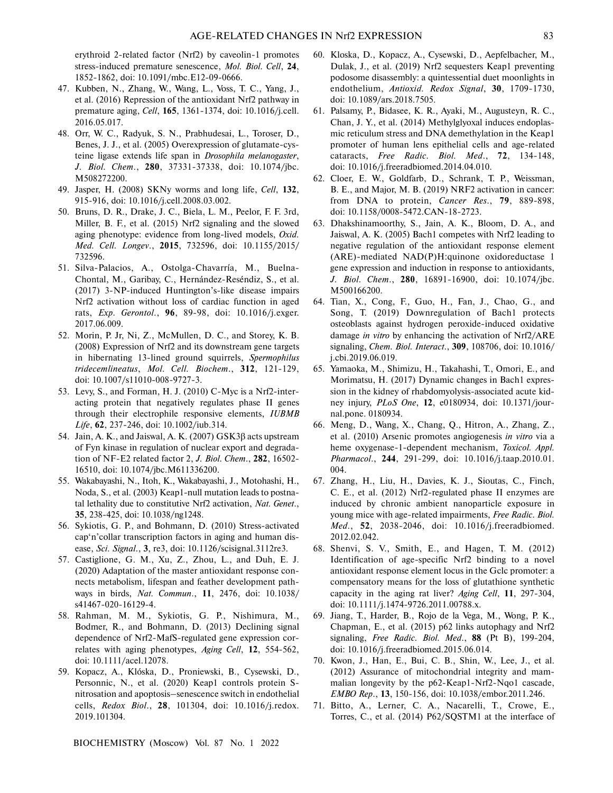erythroid 2-related factor (Nrf2) by caveolin-1 promotes stress-induced premature senescence, *Mol. Biol. Cell*, **24**, 1852-1862, doi: 10.1091/mbc.E12-09-0666.

- 47. Kubben, N., Zhang, W., Wang, L., Voss, T. C., Yang, J., et al. (2016) Repression of the antioxidant Nrf2 pathway in premature aging, *Cell*, **165**, 1361-1374, doi: 10.1016/j.cell. 2016.05.017.
- 48. Orr, W. C., Radyuk, S. N., Prabhudesai, L., Toroser, D., Benes, J. J., et al. (2005) Overexpression of glutamate-cys teine ligase extends life span in *Drosophila melanogaster*, *J. Biol. Chem*., **280**, 37331-37338, doi: 10.1074/jbc. M508272200.
- 49. Jasper, H. (2008) SKNy worms and long life, *Cell*, **132**, 915-916, doi: 10.1016/j.cell.2008.03.002.
- 50. Bruns, D. R., Drake, J. C., Biela, L. M., Peelor, F. F. 3rd, Miller, B. F., et al. (2015) Nrf2 signaling and the slowed aging phenotype: evidence from long-lived models, *Oxid. Med. Cell. Longev*., **2015**, 732596, doi: 10.1155/2015/ 732596.
- 51. Silva-Palacios, A., Ostolga-Chavarría, M., Buelna-Chontal, M., Garibay, C., Hernández-Reséndiz, S., et al. (2017) 3-NP-induced Huntington's-like disease impairs Nrf2 activation without loss of cardiac function in aged rats, *Exp. Gerontol*., **96**, 89-98, doi: 10.1016/j.exger. 2017.06.009.
- 52. Morin, P. Jr, Ni, Z., McMullen, D. C., and Storey, K. B. (2008) Expression of Nrf2 and its downstream gene targets in hibernating 13-lined ground squirrels, *Spermophilus tridecemlineatus*, *Mol. Cell. Biochem*., **312**, 121-129, doi: 10.1007/s11010-008-9727-3.
- 53. Levy, S., and Forman, H. J. (2010) C-Myc is a Nrf2-interacting protein that negatively regulates phase II genes through their electrophile responsive elements, *IUBMB Life*, **62**, 237-246, doi: 10.1002/iub.314.
- 54. Jain, A. K., and Jaiswal, A. K. (2007) GSK3β acts upstream of Fyn kinase in regulation of nuclear export and degrada tion of NF-E2 related factor 2, *J. Biol. Chem*., **282**, 16502- 16510, doi: 10.1074/jbc.M611336200.
- 55. Wakabayashi, N., Itoh, K., Wakabayashi, J., Motohashi, H., Noda, S., et al. (2003) Keap1-null mutation leads to postna tal lethality due to constitutive Nrf2 activation, *Nat. Genet*., **35**, 238-425, doi: 10.1038/ng1248.
- 56. Sykiotis, G. P., and Bohmann, D. (2010) Stress-activated cap'n'collar transcription factors in aging and human dis ease, *Sci. Signal*., **3**, re3, doi: 10.1126/scisignal.3112re3.
- 57. Castiglione, G. M., Xu, Z., Zhou, L., and Duh, E. J. (2020) Adaptation of the master antioxidant response con nects metabolism, lifespan and feather development path ways in birds, *Nat. Commun*., **11**, 2476, doi: 10.1038/ s41467-020-16129-4.
- 58. Rahman, M. M., Sykiotis, G. P., Nishimura, M., Bodmer, R., and Bohmann, D. (2013) Declining signal dependence of Nrf2-MafS-regulated gene expression cor relates with aging phenotypes, *Aging Cell*, **12**, 554-562, doi: 10.1111/acel.12078.
- 59. Kopacz, A., Klóska, D., Proniewski, B., Cysewski, D., Personnic, N., et al. (2020) Keap1 controls protein Snitrosation and apoptosis–senescence switch in endothelial cells, *Redox Biol*., **28**, 101304, doi: 10.1016/j.redox. 2019.101304.

- 60. Kloska, D., Kopacz, A., Cysewski, D., Aepfelbacher, M., Dulak, J., et al. (2019) Nrf2 sequesters Keap1 preventing podosome disassembly: a quintessential duet moonlights in endothelium, *Antioxid. Redox Signal*, **30**, 1709-1730, doi: 10.1089/ars.2018.7505.
- 61. Palsamy, P., Bidasee, K. R., Ayaki, M., Augusteyn, R. C., Chan, J. Y., et al. (2014) Methylglyoxal induces endoplas mic reticulum stress and DNA demethylation in the Keap1 promoter of human lens epithelial cells and age-related cataracts, *Free Radic. Biol. Med*., **72**, 134-148, doi: 10.1016/j.freeradbiomed.2014.04.010.
- 62. Cloer, E. W., Goldfarb, D., Schrank, T. P., Weissman, B. E., and Major, M. B. (2019) NRF2 activation in cancer: from DNA to protein, *Cancer Res*., **79**, 889-898, doi: 10.1158/0008-5472.CAN-18-2723.
- 63. Dhakshinamoorthy, S., Jain, A. K., Bloom, D. A., and Jaiswal, A. K. (2005) Bach1 competes with Nrf2 leading to negative regulation of the antioxidant response element (ARE)-mediated NAD(P)H:quinone oxidoreductase 1 gene expression and induction in response to antioxidants, *J. Biol. Chem*., **280**, 16891-16900, doi: 10.1074/jbc. M500166200.
- 64. Tian, X., Cong, F., Guo, H., Fan, J., Chao, G., and Song, T. (2019) Downregulation of Bach1 protects osteoblasts against hydrogen peroxide-induced oxidative damage *in vitro* by enhancing the activation of Nrf2/ARE signaling, *Chem. Biol. Interact*., **309**, 108706, doi: 10.1016/ j.cbi.2019.06.019.
- 65. Yamaoka, M., Shimizu, H., Takahashi, T., Omori, E., and Morimatsu, H. (2017) Dynamic changes in Bach1 expres sion in the kidney of rhabdomyolysis-associated acute kid ney injury, *PLoS One*, **12**, e0180934, doi: 10.1371/jour nal.pone. 0180934.
- 66. Meng, D., Wang, X., Chang, Q., Hitron, A., Zhang, Z., et al. (2010) Arsenic promotes angiogenesis *in vitro* via a heme oxygenase-1-dependent mechanism, *Toxicol. Appl. Pharmacol*., **244**, 291-299, doi: 10.1016/j.taap.2010.01. 004.
- 67. Zhang, H., Liu, H., Davies, K. J., Sioutas, C., Finch, C. E., et al. (2012) Nrf2-regulated phase II enzymes are induced by chronic ambient nanoparticle exposure in young mice with age-related impairments, *Free Radic. Biol. Med*., **52**, 2038-2046, doi: 10.1016/j.freeradbiomed. 2012.02.042.
- 68. Shenvi, S. V., Smith, E., and Hagen, T. M. (2012) Identification of age-specific Nrf2 binding to a novel antioxidant response element locus in the Gclc promoter: a compensatory means for the loss of glutathione synthetic capacity in the aging rat liver? *Aging Cell*, **11**, 297-304, doi: 10.1111/j.1474-9726.2011.00788.x.
- 69. Jiang, T., Harder, B., Rojo de la Vega, M., Wong, P. K., Chapman, E., et al. (2015) p62 links autophagy and Nrf2 signaling, *Free Radic. Biol. Med*., **88** (Pt B), 199-204, doi: 10.1016/j.freeradbiomed.2015.06.014.
- 70. Kwon, J., Han, E., Bui, C. B., Shin, W., Lee, J., et al. (2012) Assurance of mitochondrial integrity and mam malian longevity by the p62-Keap1-Nrf2-Nqo1 cascade, *EMBO Rep*., **13**, 150-156, doi: 10.1038/embor.2011.246.
- 71. Bitto, A., Lerner, C. A., Nacarelli, T., Crowe, E., Torres, C., et al. (2014) P62/SQSTM1 at the interface of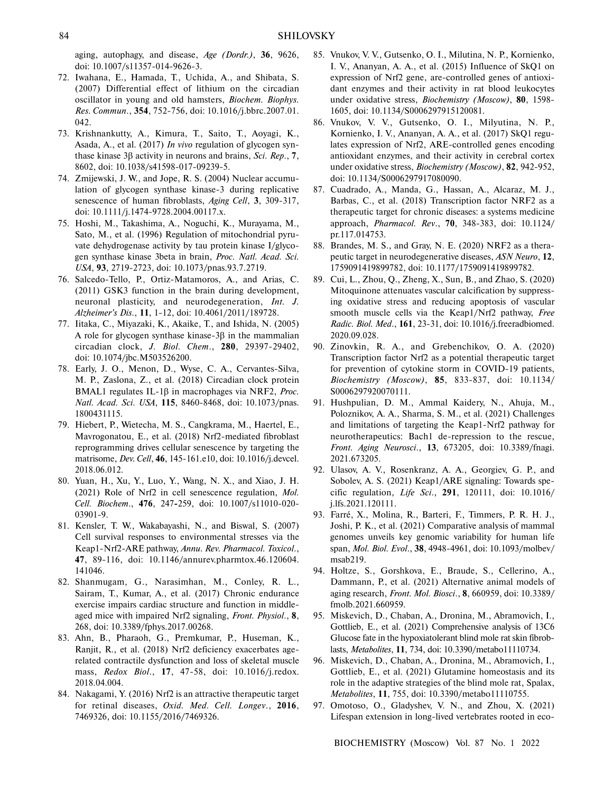aging, autophagy, and disease, *Age (Dordr.)*, **36**, 9626, doi: 10.1007/s11357-014-9626-3.

- 72. Iwahana, E., Hamada, T., Uchida, A., and Shibata, S. (2007) Differential effect of lithium on the circadian oscillator in young and old hamsters, *Biochem. Biophys. Res. Commun*., **354**, 752-756, doi: 10.1016/j.bbrc.2007.01. 042.
- 73. Krishnankutty, A., Kimura, T., Saito, T., Aoyagi, K., Asada, A., et al. (2017) *In vivo* regulation of glycogen syn thase kinase 3β activity in neurons and brains, *Sci. Rep*., **7**, 8602, doi: 10.1038/s41598-017-09239-5.
- 74. Zmijewski, J. W., and Jope, R. S. (2004) Nuclear accumu lation of glycogen synthase kinase-3 during replicative senescence of human fibroblasts, *Aging Cell*, **3**, 309-317, doi: 10.1111/j.1474-9728.2004.00117.x.
- 75. Hoshi, M., Takashima, A., Noguchi, K., Murayama, M., Sato, M., et al. (1996) Regulation of mitochondrial pyru vate dehydrogenase activity by tau protein kinase I/glyco gen synthase kinase 3beta in brain, *Proc. Natl. Acad. Sci. USA*, **93**, 2719-2723, doi: 10.1073/pnas.93.7.2719.
- 76. Salcedo-Tello, P., Ortiz-Matamoros, A., and Arias, C. (2011) GSK3 function in the brain during development, neuronal plasticity, and neurodegeneration, *Int. J. Alzheimer's Dis*., **11**, 1-12, doi: 10.4061/2011/189728.
- 77. Iitaka, C., Miyazaki, K., Akaike, T., and Ishida, N. (2005) A role for glycogen synthase kinase-3β in the mammalian circadian clock, *J. Biol. Chem*., **280**, 29397-29402, doi: 10.1074/jbc.M503526200.
- 78. Early, J. O., Menon, D., Wyse, C. A., Cervantes-Silva, M. P., Zaslona, Z., et al. (2018) Circadian clock protein BMAL1 regulates IL-1β in macrophages via NRF2, *Proc. Natl. Acad. Sci. USA*, **115**, 8460-8468, doi: 10.1073/pnas. 1800431115.
- 79. Hiebert, P., Wietecha, M. S., Cangkrama, M., Haertel, E., Mavrogonatou, E., et al. (2018) Nrf2-mediated fibroblast reprogramming drives cellular senescence by targeting the matrisome, *Dev. Cell*, **46**, 145-161.e10, doi: 10.1016/j.devcel. 2018.06.012.
- 80. Yuan, H., Xu, Y., Luo, Y., Wang, N. X., and Xiao, J. H. (2021) Role of Nrf2 in cell senescence regulation, *Mol. Cell. Biochem*., **476**, 247**-**259, doi: 10.1007/s11010-020- 03901-9.
- 81. Kensler, T. W., Wakabayashi, N., and Biswal, S. (2007) Cell survival responses to environmental stresses via the Keap1-Nrf2-ARE pathway, *Annu. Rev. Pharmacol. Toxicol*., **47**, 89-116, doi: 10.1146/annurev.pharmtox.46.120604. 141046.
- 82. Shanmugam, G., Narasimhan, M., Conley, R. L., Sairam, T., Kumar, A., et al. (2017) Chronic endurance exercise impairs cardiac structure and function in middle aged mice with impaired Nrf2 signaling, *Front. Physiol*., **8**, 268, doi: 10.3389/fphys.2017.00268.
- 83. Ahn, B., Pharaoh, G., Premkumar, P., Huseman, K., Ranjit, R., et al. (2018) Nrf2 deficiency exacerbates age related contractile dysfunction and loss of skeletal muscle mass, *Redox Biol*., **17**, 47-58, doi: 10.1016/j.redox. 2018.04.004.
- 84. Nakagami, Y. (2016) Nrf2 is an attractive therapeutic target for retinal diseases, *Oxid. Med. Cell. Longev*., **2016**, 7469326, doi: 10.1155/2016/7469326.
- 85. Vnukov, V. V., Gutsenko, O. I., Milutina, N. P., Kornienko, I. V., Ananyan, A. A., et al. (2015) Influence of SkQ1 on expression of Nrf2 gene, are-controlled genes of antioxi dant enzymes and their activity in rat blood leukocytes under oxidative stress, *Biochemistry (Moscow)*, **80**, 1598- 1605, doi: 10.1134/S0006297915120081.
- 86. Vnukov, V. V., Gutsenko, O. I., Milyutina, N. P., Kornienko, I. V., Ananyan, A. A., et al. (2017) SkQ1 regu lates expression of Nrf2, ARE-controlled genes encoding antioxidant enzymes, and their activity in cerebral cortex under oxidative stress, *Biochemistry (Moscow)*, **82**, 942-952, doi: 10.1134/S0006297917080090.
- 87. Cuadrado, A., Manda, G., Hassan, A., Alcaraz, M. J., Barbas, C., et al. (2018) Transcription factor NRF2 as a therapeutic target for chronic diseases: a systems medicine approach, *Pharmacol. Rev*., **70**, 348-383, doi: 10.1124/ pr.117.014753.
- 88. Brandes, M. S., and Gray, N. E. (2020) NRF2 as a thera peutic target in neurodegenerative diseases, *ASN Neuro*, **12**, 1759091419899782, doi: 10.1177/1759091419899782.
- 89. Cui, L., Zhou, Q., Zheng, X., Sun, B., and Zhao, S. (2020) Mitoquinone attenuates vascular calcification by suppress ing oxidative stress and reducing apoptosis of vascular smooth muscle cells via the Keap1/Nrf2 pathway, *Free Radic. Biol. Med*., **161**, 23-31, doi: 10.1016/j.freeradbiomed. 2020.09.028.
- 90. Zinovkin, R. A., and Grebenchikov, O. A. (2020) Transcription factor Nrf2 as a potential therapeutic target for prevention of cytokine storm in COVID-19 patients, *Biochemistry (Moscow)*, **85**, 833-837, doi: 10.1134/ S0006297920070111.
- 91. Hushpulian, D. M., Ammal Kaidery, N., Ahuja, M., Poloznikov, A. A., Sharma, S. M., et al. (2021) Challenges and limitations of targeting the Keap1-Nrf2 pathway for neurotherapeutics: Bach1 de-repression to the rescue, *Front. Aging Neurosci*., **13**, 673205, doi: 10.3389/fnagi. 2021.673205.
- 92. Ulasov, A. V., Rosenkranz, A. A., Georgiev, G. P., and Sobolev, A. S. (2021) Keap1/ARE signaling: Towards spe cific regulation, *Life Sci*., **291**, 120111, doi: 10.1016/ j.lfs.2021.120111.
- 93. Farré, X., Molina, R., Barteri, F., Timmers, P. R. H. J., Joshi, P. K., et al. (2021) Comparative analysis of mammal genomes unveils key genomic variability for human life span, *Mol. Biol. Evol*., **38**, 4948-4961, doi: 10.1093/molbev/ msab219.
- 94. Holtze, S., Gorshkova, E., Braude, S., Cellerino, A., Dammann, P., et al. (2021) Alternative animal models of aging research, *Front. Mol. Biosci*., **8**, 660959, doi: 10.3389/ fmolb.2021.660959.
- 95. Miskevich, D., Chaban, A., Dronina, M., Abramovich, I., Gottlieb, E., et al. (2021) Comprehensive analysis of 13C6 Glucose fate in the hypoxiatolerant blind mole rat skin fibrob lasts, *Metabolites*, **11**, 734, doi: 10.3390/metabo11110734.
- 96. Miskevich, D., Chaban, A., Dronina, M., Abramovich, I., Gottlieb, E., et al. (2021) Glutamine homeostasis and its role in the adaptive strategies of the blind mole rat, Spalax, *Metabolites*, **11**, 755, doi: 10.3390/metabo11110755.
- 97. Omotoso, O., Gladyshev, V. N., and Zhou, X. (2021) Lifespan extension in long-lived vertebrates rooted in eco-